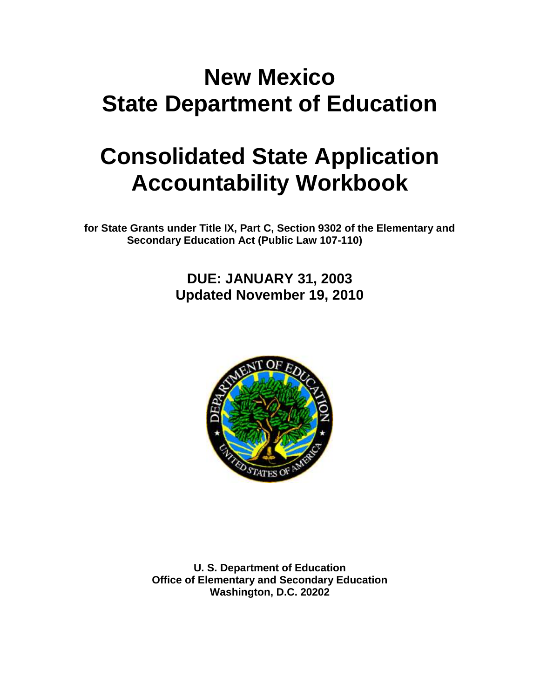# **New Mexico State Department of Education**

# **Consolidated State Application Accountability Workbook**

**for State Grants under Title IX, Part C, Section 9302 of the Elementary and Secondary Education Act (Public Law 107-110)**

> **DUE: JANUARY 31, 2003 Updated November 19, 2010**



**U. S. Department of Education Office of Elementary and Secondary Education Washington, D.C. 20202**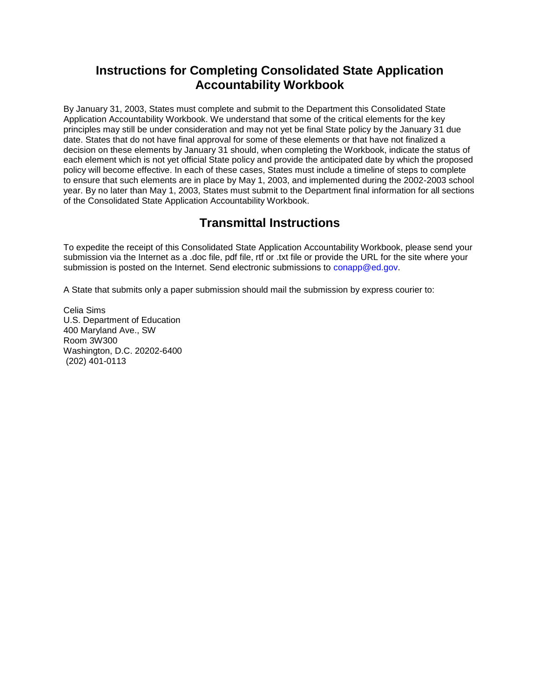# **Instructions for Completing Consolidated State Application Accountability Workbook**

By January 31, 2003, States must complete and submit to the Department this Consolidated State Application Accountability Workbook. We understand that some of the critical elements for the key principles may still be under consideration and may not yet be final State policy by the January 31 due date. States that do not have final approval for some of these elements or that have not finalized a decision on these elements by January 31 should, when completing the Workbook, indicate the status of each element which is not yet official State policy and provide the anticipated date by which the proposed policy will become effective. In each of these cases, States must include a timeline of steps to complete to ensure that such elements are in place by May 1, 2003, and implemented during the 2002-2003 school year. By no later than May 1, 2003, States must submit to the Department final information for all sections of the Consolidated State Application Accountability Workbook.

# **Transmittal Instructions**

To expedite the receipt of this Consolidated State Application Accountability Workbook, please send your submission via the Internet as a .doc file, pdf file, rtf or .txt file or provide the URL for the site where your submission is posted on the Internet. Send electronic submissions to conapp@ed.gov.

A State that submits only a paper submission should mail the submission by express courier to:

Celia Sims U.S. Department of Education 400 Maryland Ave., SW Room 3W300 Washington, D.C. 20202-6400 (202) 401-0113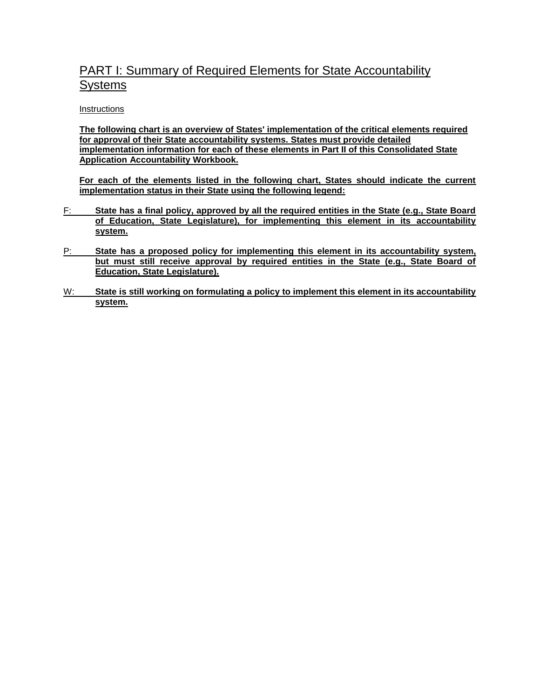# PART I: Summary of Required Elements for State Accountability Systems

#### **Instructions**

**The following chart is an overview of States' implementation of the critical elements required for approval of their State accountability systems. States must provide detailed implementation information for each of these elements in Part II of this Consolidated State Application Accountability Workbook.** 

**For each of the elements listed in the following chart, States should indicate the current implementation status in their State using the following legend:**

- F: **State has a final policy, approved by all the required entities in the State (e.g., State Board of Education, State Legislature), for implementing this element in its accountability system.**
- P: **State has a proposed policy for implementing this element in its accountability system, but must still receive approval by required entities in the State (e.g., State Board of Education, State Legislature).**
- W: **State is still working on formulating a policy to implement this element in its accountability system.**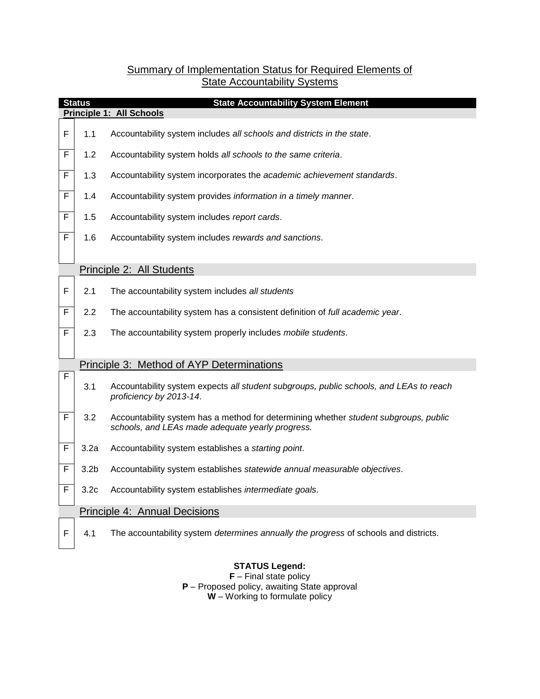## Summary of Implementation Status for Required Elements of **State Accountability Systems**

|   | <b>Status</b><br><b>State Accountability System Element</b> |                                                                                                                                          |  |  |  |
|---|-------------------------------------------------------------|------------------------------------------------------------------------------------------------------------------------------------------|--|--|--|
|   | <b>Principle 1: All Schools</b>                             |                                                                                                                                          |  |  |  |
| F | 1.1                                                         | Accountability system includes all schools and districts in the state.                                                                   |  |  |  |
| F | 1.2                                                         | Accountability system holds all schools to the same criteria.                                                                            |  |  |  |
| F | 1.3                                                         | Accountability system incorporates the academic achievement standards.                                                                   |  |  |  |
| F | 1.4                                                         | Accountability system provides information in a timely manner.                                                                           |  |  |  |
| F | 1.5                                                         | Accountability system includes report cards.                                                                                             |  |  |  |
| F | 1.6                                                         | Accountability system includes rewards and sanctions.                                                                                    |  |  |  |
|   |                                                             |                                                                                                                                          |  |  |  |
|   |                                                             | Principle 2: All Students                                                                                                                |  |  |  |
| F | 2.1                                                         | The accountability system includes all students                                                                                          |  |  |  |
| F | 2.2                                                         | The accountability system has a consistent definition of full academic year.                                                             |  |  |  |
| F | 2.3                                                         | The accountability system properly includes mobile students.                                                                             |  |  |  |
|   |                                                             | Principle 3: Method of AYP Determinations                                                                                                |  |  |  |
| F | 3.1                                                         | Accountability system expects all student subgroups, public schools, and LEAs to reach<br>proficiency by 2013-14.                        |  |  |  |
| F | 3.2                                                         | Accountability system has a method for determining whether student subgroups, public<br>schools, and LEAs made adequate yearly progress. |  |  |  |
| F | 3.2a                                                        | Accountability system establishes a starting point.                                                                                      |  |  |  |
| F | 3.2 <sub>b</sub>                                            | Accountability system establishes statewide annual measurable objectives.                                                                |  |  |  |
| F | 3.2 <sub>c</sub>                                            | Accountability system establishes intermediate goals.                                                                                    |  |  |  |
|   |                                                             | Principle 4: Annual Decisions                                                                                                            |  |  |  |
| F | 4.1                                                         | The accountability system determines annually the progress of schools and districts.                                                     |  |  |  |

## **STATUS Legend:**

**F** – Final state policy **P** – Proposed policy, awaiting State approval **W** – Working to formulate policy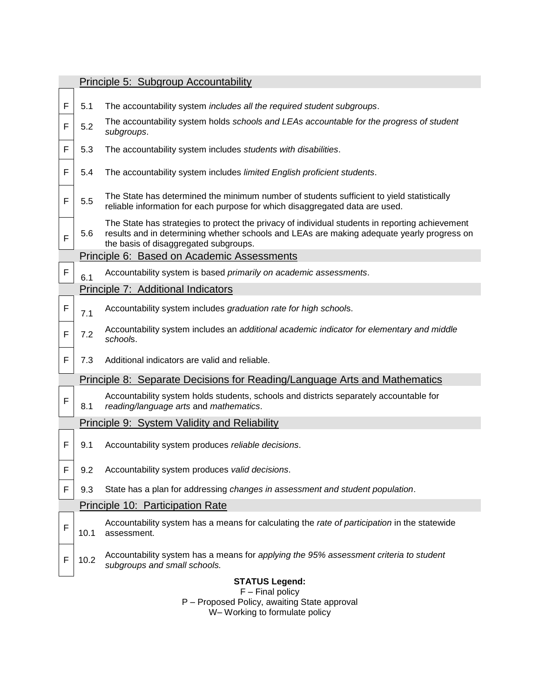|             |                                                                    | Principle 5: Subgroup Accountability                                                                                                                                                                                                   |  |  |  |
|-------------|--------------------------------------------------------------------|----------------------------------------------------------------------------------------------------------------------------------------------------------------------------------------------------------------------------------------|--|--|--|
|             |                                                                    |                                                                                                                                                                                                                                        |  |  |  |
| F           | 5.1                                                                | The accountability system includes all the required student subgroups.                                                                                                                                                                 |  |  |  |
| F           | 5.2                                                                | The accountability system holds schools and LEAs accountable for the progress of student<br>subgroups.                                                                                                                                 |  |  |  |
| F           | 5.3                                                                | The accountability system includes students with disabilities.                                                                                                                                                                         |  |  |  |
| F           | 5.4                                                                | The accountability system includes limited English proficient students.                                                                                                                                                                |  |  |  |
| F           | 5.5                                                                | The State has determined the minimum number of students sufficient to yield statistically<br>reliable information for each purpose for which disaggregated data are used.                                                              |  |  |  |
| F           | 5.6                                                                | The State has strategies to protect the privacy of individual students in reporting achievement<br>results and in determining whether schools and LEAs are making adequate yearly progress on<br>the basis of disaggregated subgroups. |  |  |  |
|             |                                                                    | Principle 6: Based on Academic Assessments                                                                                                                                                                                             |  |  |  |
| $\mathsf F$ | 6.1                                                                | Accountability system is based primarily on academic assessments.                                                                                                                                                                      |  |  |  |
|             |                                                                    | Principle 7: Additional Indicators                                                                                                                                                                                                     |  |  |  |
| $\mathsf F$ | 7.1                                                                | Accountability system includes graduation rate for high schools.                                                                                                                                                                       |  |  |  |
| F           | 7.2                                                                | Accountability system includes an additional academic indicator for elementary and middle<br>schools.                                                                                                                                  |  |  |  |
| F           | 7.3                                                                | Additional indicators are valid and reliable.                                                                                                                                                                                          |  |  |  |
|             |                                                                    | Principle 8: Separate Decisions for Reading/Language Arts and Mathematics                                                                                                                                                              |  |  |  |
| F           | 8.1                                                                | Accountability system holds students, schools and districts separately accountable for<br>reading/language arts and mathematics.                                                                                                       |  |  |  |
|             |                                                                    | <b>Principle 9: System Validity and Reliability</b>                                                                                                                                                                                    |  |  |  |
| F           | 9.1                                                                | Accountability system produces reliable decisions.                                                                                                                                                                                     |  |  |  |
| F           | 9.2                                                                | Accountability system produces valid decisions.                                                                                                                                                                                        |  |  |  |
| F           | 9.3                                                                | State has a plan for addressing changes in assessment and student population.                                                                                                                                                          |  |  |  |
|             | Principle 10: Participation Rate                                   |                                                                                                                                                                                                                                        |  |  |  |
| F           | 10.1                                                               | Accountability system has a means for calculating the rate of participation in the statewide<br>assessment.                                                                                                                            |  |  |  |
| F           | 10.2                                                               | Accountability system has a means for applying the 95% assessment criteria to student<br>subgroups and small schools.                                                                                                                  |  |  |  |
|             |                                                                    | <b>STATUS Legend:</b>                                                                                                                                                                                                                  |  |  |  |
|             | $F$ – Final policy<br>P - Proposed Policy, awaiting State approval |                                                                                                                                                                                                                                        |  |  |  |
|             |                                                                    | W-Working to formulate policy                                                                                                                                                                                                          |  |  |  |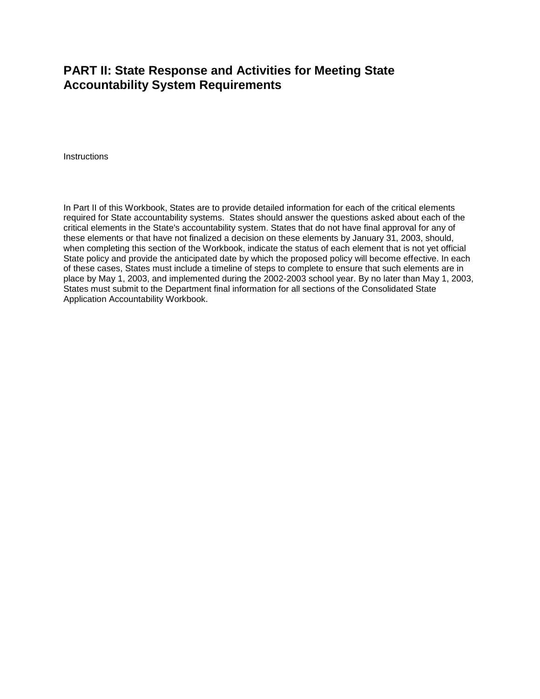# **PART II: State Response and Activities for Meeting State Accountability System Requirements**

**Instructions** 

In Part II of this Workbook, States are to provide detailed information for each of the critical elements required for State accountability systems. States should answer the questions asked about each of the critical elements in the State's accountability system. States that do not have final approval for any of these elements or that have not finalized a decision on these elements by January 31, 2003, should, when completing this section of the Workbook, indicate the status of each element that is not yet official State policy and provide the anticipated date by which the proposed policy will become effective. In each of these cases, States must include a timeline of steps to complete to ensure that such elements are in place by May 1, 2003, and implemented during the 2002-2003 school year. By no later than May 1, 2003, States must submit to the Department final information for all sections of the Consolidated State Application Accountability Workbook.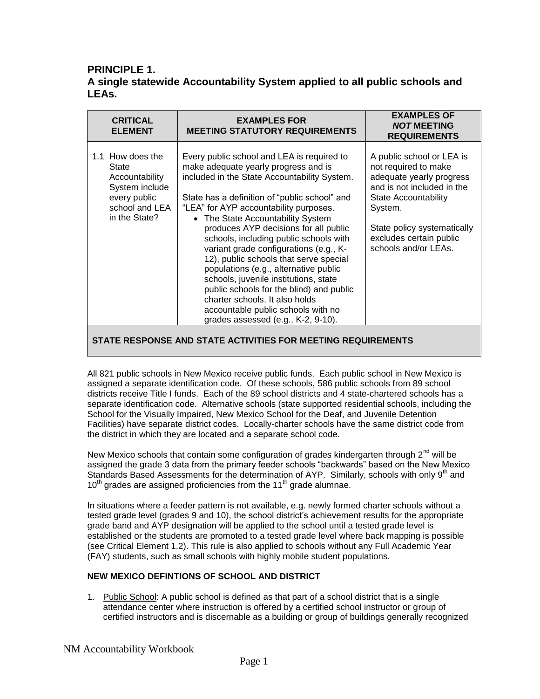## **PRINCIPLE 1. A single statewide Accountability System applied to all public schools and LEAs.**

| <b>CRITICAL</b><br><b>ELEMENT</b>                                                                                | <b>EXAMPLES FOR</b><br><b>MEETING STATUTORY REQUIREMENTS</b>                                                                                                                                                                                                                                                                                                                                                                                                                                                                                                                                                                                                                          | <b>EXAMPLES OF</b><br><b>NOT MEETING</b><br><b>REQUIREMENTS</b>                                                                                                                                                                  |
|------------------------------------------------------------------------------------------------------------------|---------------------------------------------------------------------------------------------------------------------------------------------------------------------------------------------------------------------------------------------------------------------------------------------------------------------------------------------------------------------------------------------------------------------------------------------------------------------------------------------------------------------------------------------------------------------------------------------------------------------------------------------------------------------------------------|----------------------------------------------------------------------------------------------------------------------------------------------------------------------------------------------------------------------------------|
| 1.1 How does the<br>State<br>Accountability<br>System include<br>every public<br>school and LEA<br>in the State? | Every public school and LEA is required to<br>make adequate yearly progress and is<br>included in the State Accountability System.<br>State has a definition of "public school" and<br>"LEA" for AYP accountability purposes.<br>• The State Accountability System<br>produces AYP decisions for all public<br>schools, including public schools with<br>variant grade configurations (e.g., K-<br>12), public schools that serve special<br>populations (e.g., alternative public<br>schools, juvenile institutions, state<br>public schools for the blind) and public<br>charter schools. It also holds<br>accountable public schools with no<br>grades assessed (e.g., K-2, 9-10). | A public school or LEA is<br>not required to make<br>adequate yearly progress<br>and is not included in the<br>State Accountability<br>System.<br>State policy systematically<br>excludes certain public<br>schools and/or LEAs. |

**STATE RESPONSE AND STATE ACTIVITIES FOR MEETING REQUIREMENTS**

All 821 public schools in New Mexico receive public funds. Each public school in New Mexico is assigned a separate identification code. Of these schools, 586 public schools from 89 school districts receive Title I funds. Each of the 89 school districts and 4 state-chartered schools has a separate identification code. Alternative schools (state supported residential schools, including the School for the Visually Impaired, New Mexico School for the Deaf, and Juvenile Detention Facilities) have separate district codes. Locally-charter schools have the same district code from the district in which they are located and a separate school code.

New Mexico schools that contain some configuration of grades kindergarten through  $2<sup>nd</sup>$  will be assigned the grade 3 data from the primary feeder schools "backwards" based on the New Mexico Standards Based Assessments for the determination of AYP. Similarly, schools with only 9<sup>th</sup> and  $10^{th}$  grades are assigned proficiencies from the  $11^{th}$  grade alumnae.

In situations where a feeder pattern is not available, e.g. newly formed charter schools without a tested grade level (grades 9 and 10), the school district's achievement results for the appropriate grade band and AYP designation will be applied to the school until a tested grade level is established or the students are promoted to a tested grade level where back mapping is possible (see Critical Element 1.2). This rule is also applied to schools without any Full Academic Year (FAY) students, such as small schools with highly mobile student populations.

#### **NEW MEXICO DEFINTIONS OF SCHOOL AND DISTRICT**

1. Public School: A public school is defined as that part of a school district that is a single attendance center where instruction is offered by a certified school instructor or group of certified instructors and is discernable as a building or group of buildings generally recognized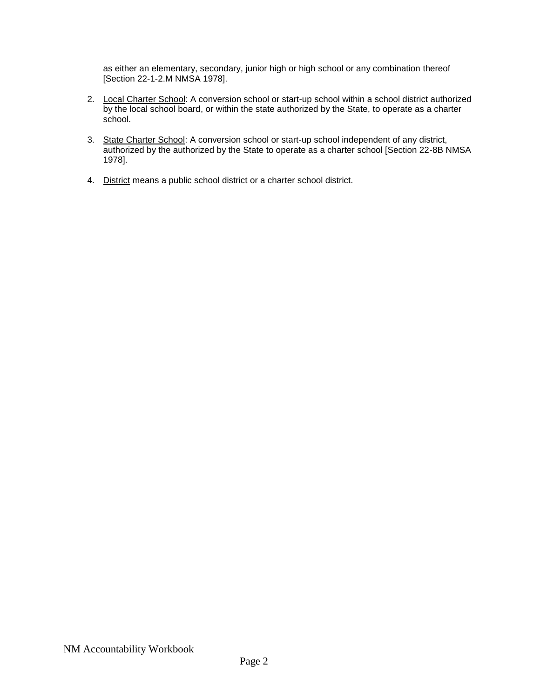as either an elementary, secondary, junior high or high school or any combination thereof [Section 22-1-2.M NMSA 1978].

- 2. Local Charter School: A conversion school or start-up school within a school district authorized by the local school board, or within the state authorized by the State, to operate as a charter school.
- 3. State Charter School: A conversion school or start-up school independent of any district, authorized by the authorized by the State to operate as a charter school [Section 22-8B NMSA 1978].
- 4. District means a public school district or a charter school district.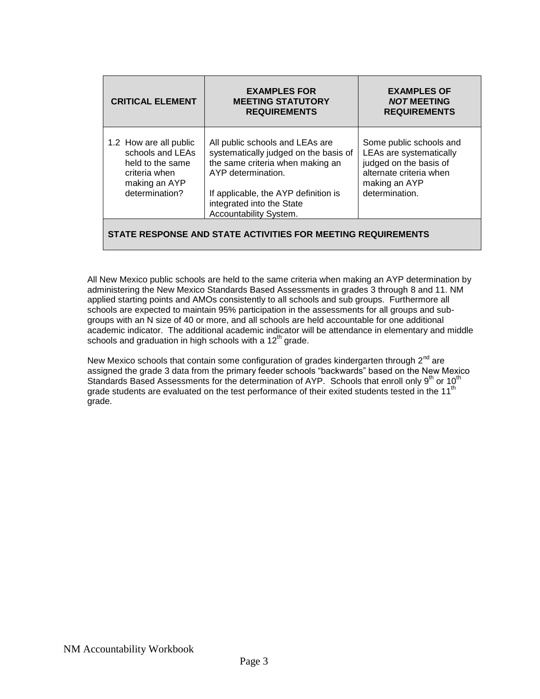| <b>CRITICAL ELEMENT</b>                                                                                            | <b>EXAMPLES FOR</b><br><b>MEETING STATUTORY</b><br><b>REQUIREMENTS</b>                                                                                                                                                            | <b>EXAMPLES OF</b><br><b>NOT MEETING</b><br><b>REQUIREMENTS</b>                                                                            |
|--------------------------------------------------------------------------------------------------------------------|-----------------------------------------------------------------------------------------------------------------------------------------------------------------------------------------------------------------------------------|--------------------------------------------------------------------------------------------------------------------------------------------|
| 1.2 How are all public<br>schools and LEAs<br>held to the same<br>criteria when<br>making an AYP<br>determination? | All public schools and LEAs are<br>systematically judged on the basis of<br>the same criteria when making an<br>AYP determination.<br>If applicable, the AYP definition is<br>integrated into the State<br>Accountability System. | Some public schools and<br>LEAs are systematically<br>judged on the basis of<br>alternate criteria when<br>making an AYP<br>determination. |
|                                                                                                                    | STATE RESPONSE AND STATE ACTIVITIES FOR MEETING REQUIREMENTS                                                                                                                                                                      |                                                                                                                                            |

All New Mexico public schools are held to the same criteria when making an AYP determination by administering the New Mexico Standards Based Assessments in grades 3 through 8 and 11. NM applied starting points and AMOs consistently to all schools and sub groups. Furthermore all schools are expected to maintain 95% participation in the assessments for all groups and subgroups with an N size of 40 or more, and all schools are held accountable for one additional academic indicator. The additional academic indicator will be attendance in elementary and middle schools and graduation in high schools with a  $12<sup>th</sup>$  grade.

New Mexico schools that contain some configuration of grades kindergarten through  $2^{nd}$  are assigned the grade 3 data from the primary feeder schools "backwards" based on the New Mexico Standards Based Assessments for the determination of AYP. Schools that enroll only 9<sup>th</sup> or 10<sup>th</sup> grade students are evaluated on the test performance of their exited students tested in the 11<sup>th</sup> grade.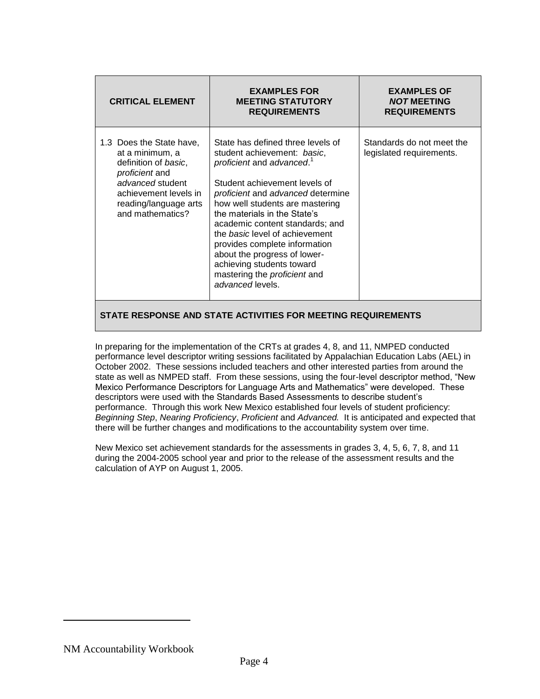| <b>CRITICAL ELEMENT</b>                                                                                                                                                         | <b>EXAMPLES FOR</b><br><b>MEETING STATUTORY</b><br><b>REQUIREMENTS</b>                                                                                                                                                                                                                                                                                                                                                                                                                  | <b>EXAMPLES OF</b><br><b>NOT MEETING</b><br><b>REQUIREMENTS</b> |
|---------------------------------------------------------------------------------------------------------------------------------------------------------------------------------|-----------------------------------------------------------------------------------------------------------------------------------------------------------------------------------------------------------------------------------------------------------------------------------------------------------------------------------------------------------------------------------------------------------------------------------------------------------------------------------------|-----------------------------------------------------------------|
| 1.3 Does the State have,<br>at a minimum, a<br>definition of basic,<br>proficient and<br>advanced student<br>achievement levels in<br>reading/language arts<br>and mathematics? | State has defined three levels of<br>student achievement: basic,<br>proficient and advanced. <sup>1</sup><br>Student achievement levels of<br>proficient and advanced determine<br>how well students are mastering<br>the materials in the State's<br>academic content standards; and<br>the <i>basic</i> level of achievement<br>provides complete information<br>about the progress of lower-<br>achieving students toward<br>mastering the <i>proficient</i> and<br>advanced levels. | Standards do not meet the<br>legislated requirements.           |

In preparing for the implementation of the CRTs at grades 4, 8, and 11, NMPED conducted performance level descriptor writing sessions facilitated by Appalachian Education Labs (AEL) in October 2002. These sessions included teachers and other interested parties from around the state as well as NMPED staff. From these sessions, using the four-level descriptor method, "New Mexico Performance Descriptors for Language Arts and Mathematics" were developed. These descriptors were used with the Standards Based Assessments to describe student's performance. Through this work New Mexico established four levels of student proficiency: *Beginning Step*, *Nearing Proficiency*, *Proficient* and *Advanced.* It is anticipated and expected that there will be further changes and modifications to the accountability system over time.

New Mexico set achievement standards for the assessments in grades 3, 4, 5, 6, 7, 8, and 11 during the 2004-2005 school year and prior to the release of the assessment results and the calculation of AYP on August 1, 2005.

NM Accountability Workbook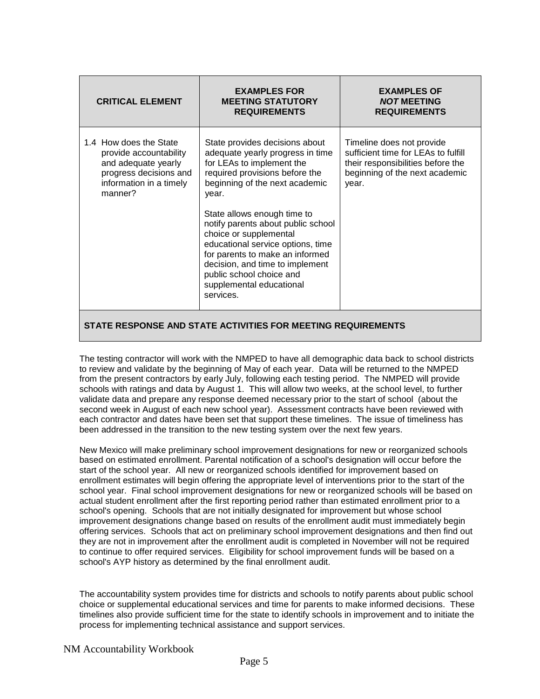| <b>CRITICAL ELEMENT</b>                                                                                                                 | <b>EXAMPLES FOR</b><br><b>MEETING STATUTORY</b><br><b>REQUIREMENTS</b>                                                                                                                                                                                                                                                                                                                                                                                      | <b>EXAMPLES OF</b><br><b>NOT MEETING</b><br><b>REQUIREMENTS</b>                                                                                  |
|-----------------------------------------------------------------------------------------------------------------------------------------|-------------------------------------------------------------------------------------------------------------------------------------------------------------------------------------------------------------------------------------------------------------------------------------------------------------------------------------------------------------------------------------------------------------------------------------------------------------|--------------------------------------------------------------------------------------------------------------------------------------------------|
| 1.4 How does the State<br>provide accountability<br>and adequate yearly<br>progress decisions and<br>information in a timely<br>manner? | State provides decisions about<br>adequate yearly progress in time<br>for LEAs to implement the<br>required provisions before the<br>beginning of the next academic<br>year.<br>State allows enough time to<br>notify parents about public school<br>choice or supplemental<br>educational service options, time<br>for parents to make an informed<br>decision, and time to implement<br>public school choice and<br>supplemental educational<br>services. | Timeline does not provide<br>sufficient time for LEAs to fulfill<br>their responsibilities before the<br>beginning of the next academic<br>year. |
|                                                                                                                                         |                                                                                                                                                                                                                                                                                                                                                                                                                                                             |                                                                                                                                                  |

The testing contractor will work with the NMPED to have all demographic data back to school districts to review and validate by the beginning of May of each year. Data will be returned to the NMPED from the present contractors by early July, following each testing period. The NMPED will provide schools with ratings and data by August 1. This will allow two weeks, at the school level, to further validate data and prepare any response deemed necessary prior to the start of school (about the second week in August of each new school year). Assessment contracts have been reviewed with each contractor and dates have been set that support these timelines. The issue of timeliness has been addressed in the transition to the new testing system over the next few years.

New Mexico will make preliminary school improvement designations for new or reorganized schools based on estimated enrollment. Parental notification of a school's designation will occur before the start of the school year. All new or reorganized schools identified for improvement based on enrollment estimates will begin offering the appropriate level of interventions prior to the start of the school year. Final school improvement designations for new or reorganized schools will be based on actual student enrollment after the first reporting period rather than estimated enrollment prior to a school's opening. Schools that are not initially designated for improvement but whose school improvement designations change based on results of the enrollment audit must immediately begin offering services. Schools that act on preliminary school improvement designations and then find out they are not in improvement after the enrollment audit is completed in November will not be required to continue to offer required services. Eligibility for school improvement funds will be based on a school's AYP history as determined by the final enrollment audit.

The accountability system provides time for districts and schools to notify parents about public school choice or supplemental educational services and time for parents to make informed decisions. These timelines also provide sufficient time for the state to identify schools in improvement and to initiate the process for implementing technical assistance and support services.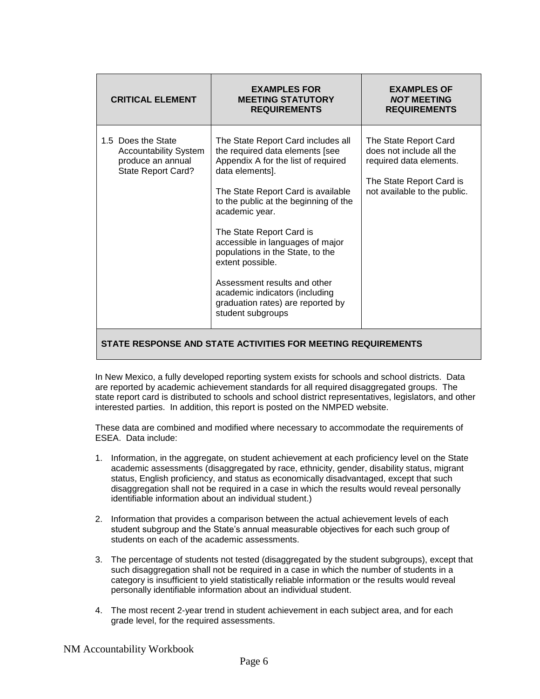| <b>CRITICAL ELEMENT</b>                                                                              | <b>EXAMPLES FOR</b><br><b>MEETING STATUTORY</b><br><b>REQUIREMENTS</b>                                                                                                                                                                                                                                                                                                                                                                                                               | <b>EXAMPLES OF</b><br><b>NOT MEETING</b><br><b>REQUIREMENTS</b>                                                                          |
|------------------------------------------------------------------------------------------------------|--------------------------------------------------------------------------------------------------------------------------------------------------------------------------------------------------------------------------------------------------------------------------------------------------------------------------------------------------------------------------------------------------------------------------------------------------------------------------------------|------------------------------------------------------------------------------------------------------------------------------------------|
| 1.5 Does the State<br><b>Accountability System</b><br>produce an annual<br><b>State Report Card?</b> | The State Report Card includes all<br>the required data elements [see<br>Appendix A for the list of required<br>data elements].<br>The State Report Card is available<br>to the public at the beginning of the<br>academic year.<br>The State Report Card is<br>accessible in languages of major<br>populations in the State, to the<br>extent possible.<br>Assessment results and other<br>academic indicators (including<br>graduation rates) are reported by<br>student subgroups | The State Report Card<br>does not include all the<br>required data elements.<br>The State Report Card is<br>not available to the public. |
| STATE RESPONSE AND STATE ACTIVITIES FOR MEETING REQUIREMENTS                                         |                                                                                                                                                                                                                                                                                                                                                                                                                                                                                      |                                                                                                                                          |

In New Mexico, a fully developed reporting system exists for schools and school districts. Data are reported by academic achievement standards for all required disaggregated groups. The state report card is distributed to schools and school district representatives, legislators, and other interested parties. In addition, this report is posted on the NMPED website.

These data are combined and modified where necessary to accommodate the requirements of ESEA. Data include:

- 1. Information, in the aggregate, on student achievement at each proficiency level on the State academic assessments (disaggregated by race, ethnicity, gender, disability status, migrant status, English proficiency, and status as economically disadvantaged, except that such disaggregation shall not be required in a case in which the results would reveal personally identifiable information about an individual student.)
- 2. Information that provides a comparison between the actual achievement levels of each student subgroup and the State's annual measurable objectives for each such group of students on each of the academic assessments.
- 3. The percentage of students not tested (disaggregated by the student subgroups), except that such disaggregation shall not be required in a case in which the number of students in a category is insufficient to yield statistically reliable information or the results would reveal personally identifiable information about an individual student.
- 4. The most recent 2-year trend in student achievement in each subject area, and for each grade level, for the required assessments.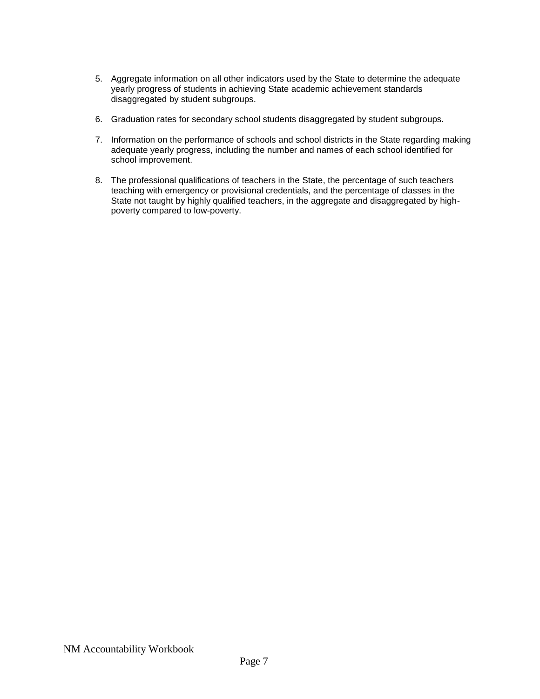- 5. Aggregate information on all other indicators used by the State to determine the adequate yearly progress of students in achieving State academic achievement standards disaggregated by student subgroups.
- 6. Graduation rates for secondary school students disaggregated by student subgroups.
- 7. Information on the performance of schools and school districts in the State regarding making adequate yearly progress, including the number and names of each school identified for school improvement.
- 8. The professional qualifications of teachers in the State, the percentage of such teachers teaching with emergency or provisional credentials, and the percentage of classes in the State not taught by highly qualified teachers, in the aggregate and disaggregated by highpoverty compared to low-poverty.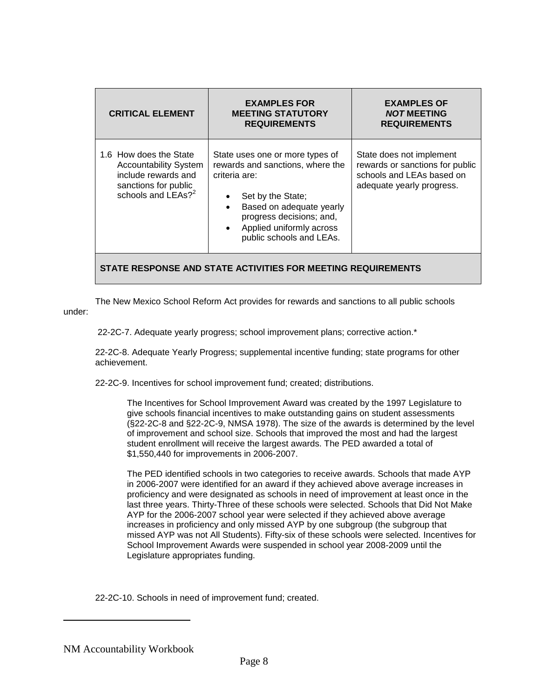| <b>CRITICAL ELEMENT</b>                                                                                                        | <b>EXAMPLES FOR</b><br><b>MEETING STATUTORY</b><br><b>REQUIREMENTS</b>                                                                                                                                                                                           | <b>EXAMPLES OF</b><br><b>NOT MEETING</b><br><b>REQUIREMENTS</b>                                                       |  |
|--------------------------------------------------------------------------------------------------------------------------------|------------------------------------------------------------------------------------------------------------------------------------------------------------------------------------------------------------------------------------------------------------------|-----------------------------------------------------------------------------------------------------------------------|--|
| 1.6 How does the State<br><b>Accountability System</b><br>include rewards and<br>sanctions for public<br>schools and $LEAs?^2$ | State uses one or more types of<br>rewards and sanctions, where the<br>criteria are:<br>Set by the State;<br>$\bullet$<br>Based on adequate yearly<br>$\bullet$<br>progress decisions; and,<br>Applied uniformly across<br>$\bullet$<br>public schools and LEAs. | State does not implement<br>rewards or sanctions for public<br>schools and LEAs based on<br>adequate yearly progress. |  |
| STATE RESPONSE AND STATE ACTIVITIES FOR MEETING REQUIREMENTS                                                                   |                                                                                                                                                                                                                                                                  |                                                                                                                       |  |

The New Mexico School Reform Act provides for rewards and sanctions to all public schools under:

22-2C-7. Adequate yearly progress; school improvement plans; corrective action.\*

22-2C-8. Adequate Yearly Progress; supplemental incentive funding; state programs for other achievement.

22-2C-9. Incentives for school improvement fund; created; distributions.

The Incentives for School Improvement Award was created by the 1997 Legislature to give schools financial incentives to make outstanding gains on student assessments (§22-2C-8 and §22-2C-9, NMSA 1978). The size of the awards is determined by the level of improvement and school size. Schools that improved the most and had the largest student enrollment will receive the largest awards. The PED awarded a total of \$1,550,440 for improvements in 2006-2007.

The PED identified schools in two categories to receive awards. Schools that made AYP in 2006-2007 were identified for an award if they achieved above average increases in proficiency and were designated as schools in need of improvement at least once in the last three years. Thirty-Three of these schools were selected. Schools that Did Not Make AYP for the 2006-2007 school year were selected if they achieved above average increases in proficiency and only missed AYP by one subgroup (the subgroup that missed AYP was not All Students). Fifty-six of these schools were selected. Incentives for School Improvement Awards were suspended in school year 2008-2009 until the Legislature appropriates funding.

22-2C-10. Schools in need of improvement fund; created.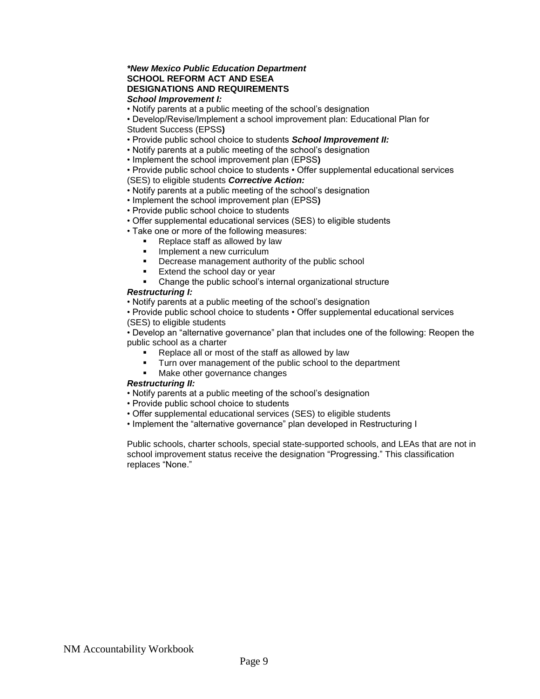#### *\*New Mexico Public Education Department* **SCHOOL REFORM ACT AND ESEA DESIGNATIONS AND REQUIREMENTS** *School Improvement I:*

• Notify parents at a public meeting of the school's designation

• Develop/Revise/Implement a school improvement plan: Educational Plan for

- Student Success (EPSS**)**
- Provide public school choice to students *School Improvement II:*
- Notify parents at a public meeting of the school's designation
- Implement the school improvement plan (EPSS**)**

• Provide public school choice to students • Offer supplemental educational services (SES) to eligible students *Corrective Action:*

- Notify parents at a public meeting of the school's designation
- Implement the school improvement plan (EPSS**)**
- Provide public school choice to students
- Offer supplemental educational services (SES) to eligible students
- Take one or more of the following measures:
	- Replace staff as allowed by law
		- Implement a new curriculum
	- Decrease management authority of the public school
	- Extend the school day or year
	- Change the public school's internal organizational structure

#### *Restructuring I:*

• Notify parents at a public meeting of the school's designation

• Provide public school choice to students • Offer supplemental educational services (SES) to eligible students

• Develop an "alternative governance" plan that includes one of the following: Reopen the public school as a charter

- Replace all or most of the staff as allowed by law
- Turn over management of the public school to the department
- Make other governance changes

#### *Restructuring II:*

- Notify parents at a public meeting of the school's designation
- Provide public school choice to students
- Offer supplemental educational services (SES) to eligible students
- Implement the "alternative governance" plan developed in Restructuring I

Public schools, charter schools, special state-supported schools, and LEAs that are not in school improvement status receive the designation "Progressing." This classification replaces "None."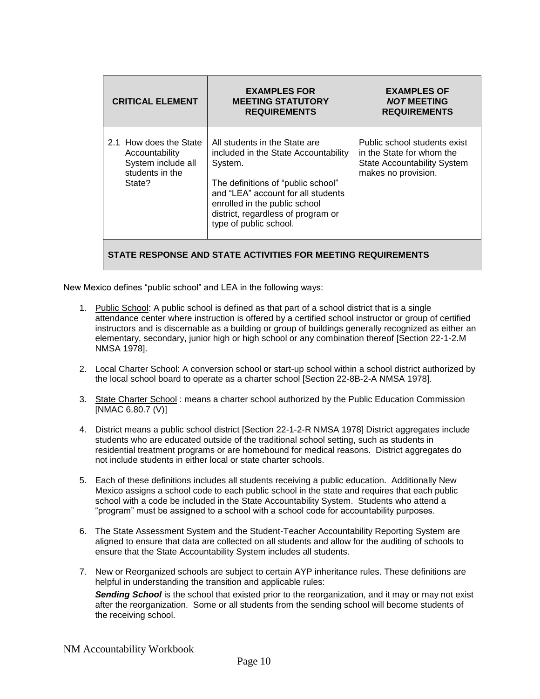| <b>CRITICAL ELEMENT</b>                                                                     | <b>EXAMPLES FOR</b><br><b>MEETING STATUTORY</b><br><b>REQUIREMENTS</b>                                                                                                                                                                                        | <b>EXAMPLES OF</b><br><b>NOT MEETING</b><br><b>REQUIREMENTS</b>                                                        |  |
|---------------------------------------------------------------------------------------------|---------------------------------------------------------------------------------------------------------------------------------------------------------------------------------------------------------------------------------------------------------------|------------------------------------------------------------------------------------------------------------------------|--|
| 2.1 How does the State<br>Accountability<br>System include all<br>students in the<br>State? | All students in the State are<br>included in the State Accountability<br>System.<br>The definitions of "public school"<br>and "LEA" account for all students<br>enrolled in the public school<br>district, regardless of program or<br>type of public school. | Public school students exist<br>in the State for whom the<br><b>State Accountability System</b><br>makes no provision. |  |
| STATE RESPONSE AND STATE ACTIVITIES FOR MEETING REQUIREMENTS                                |                                                                                                                                                                                                                                                               |                                                                                                                        |  |

New Mexico defines "public school" and LEA in the following ways:

- 1. Public School: A public school is defined as that part of a school district that is a single attendance center where instruction is offered by a certified school instructor or group of certified instructors and is discernable as a building or group of buildings generally recognized as either an elementary, secondary, junior high or high school or any combination thereof [Section 22-1-2.M NMSA 1978].
- 2. Local Charter School: A conversion school or start-up school within a school district authorized by the local school board to operate as a charter school [Section 22-8B-2-A NMSA 1978].
- 3. State Charter School : means a charter school authorized by the Public Education Commission [NMAC 6.80.7 (V)]
- 4. District means a public school district [Section 22-1-2-R NMSA 1978] District aggregates include students who are educated outside of the traditional school setting, such as students in residential treatment programs or are homebound for medical reasons. District aggregates do not include students in either local or state charter schools.
- 5. Each of these definitions includes all students receiving a public education. Additionally New Mexico assigns a school code to each public school in the state and requires that each public school with a code be included in the State Accountability System. Students who attend a "program" must be assigned to a school with a school code for accountability purposes.
- 6. The State Assessment System and the Student-Teacher Accountability Reporting System are aligned to ensure that data are collected on all students and allow for the auditing of schools to ensure that the State Accountability System includes all students.
- 7. New or Reorganized schools are subject to certain AYP inheritance rules. These definitions are helpful in understanding the transition and applicable rules:

*Sending School* is the school that existed prior to the reorganization, and it may or may not exist after the reorganization. Some or all students from the sending school will become students of the receiving school.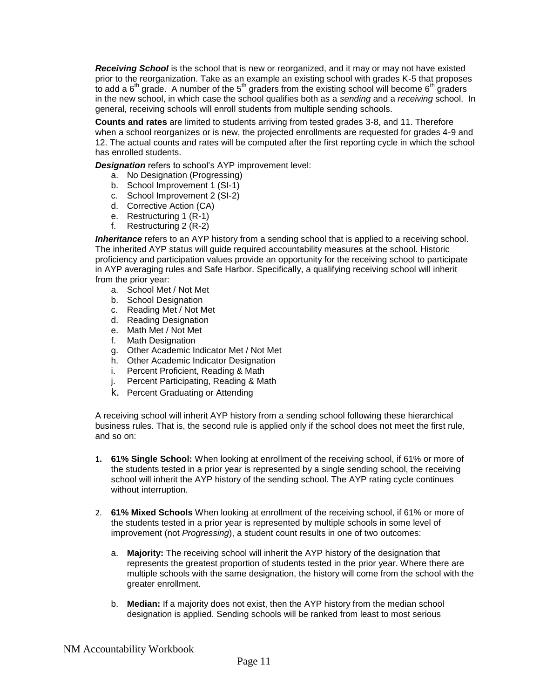*Receiving School* is the school that is new or reorganized, and it may or may not have existed prior to the reorganization. Take as an example an existing school with grades K-5 that proposes to add a  $6<sup>th</sup>$  grade. A number of the  $5<sup>th</sup>$  graders from the existing school will become  $6<sup>th</sup>$  graders in the new school, in which case the school qualifies both as a *sending* and a *receiving* school. In general, receiving schools will enroll students from multiple sending schools.

**Counts and rates** are limited to students arriving from tested grades 3-8, and 11. Therefore when a school reorganizes or is new, the projected enrollments are requested for grades 4-9 and 12. The actual counts and rates will be computed after the first reporting cycle in which the school has enrolled students.

*Designation* refers to school's AYP improvement level:

- a. No Designation (Progressing)
- b. School Improvement 1 (SI-1)
- c. School Improvement 2 (SI-2)
- d. Corrective Action (CA)
- e. Restructuring 1 (R-1)
- f. Restructuring 2 (R-2)

**Inheritance** refers to an AYP history from a sending school that is applied to a receiving school. The inherited AYP status will guide required accountability measures at the school. Historic proficiency and participation values provide an opportunity for the receiving school to participate in AYP averaging rules and Safe Harbor. Specifically, a qualifying receiving school will inherit from the prior year:

- a. School Met / Not Met
- b. School Designation
- c. Reading Met / Not Met
- d. Reading Designation
- e. Math Met / Not Met
- f. Math Designation
- g. Other Academic Indicator Met / Not Met
- h. Other Academic Indicator Designation
- i. Percent Proficient, Reading & Math
- j. Percent Participating, Reading & Math
- k. Percent Graduating or Attending

A receiving school will inherit AYP history from a sending school following these hierarchical business rules. That is, the second rule is applied only if the school does not meet the first rule, and so on:

- **1. 61% Single School:** When looking at enrollment of the receiving school, if 61% or more of the students tested in a prior year is represented by a single sending school, the receiving school will inherit the AYP history of the sending school. The AYP rating cycle continues without interruption.
- 2. **61% Mixed Schools** When looking at enrollment of the receiving school, if 61% or more of the students tested in a prior year is represented by multiple schools in some level of improvement (not *Progressing*), a student count results in one of two outcomes:
	- a. **Majority:** The receiving school will inherit the AYP history of the designation that represents the greatest proportion of students tested in the prior year. Where there are multiple schools with the same designation, the history will come from the school with the greater enrollment.
	- b. **Median:** If a majority does not exist, then the AYP history from the median school designation is applied. Sending schools will be ranked from least to most serious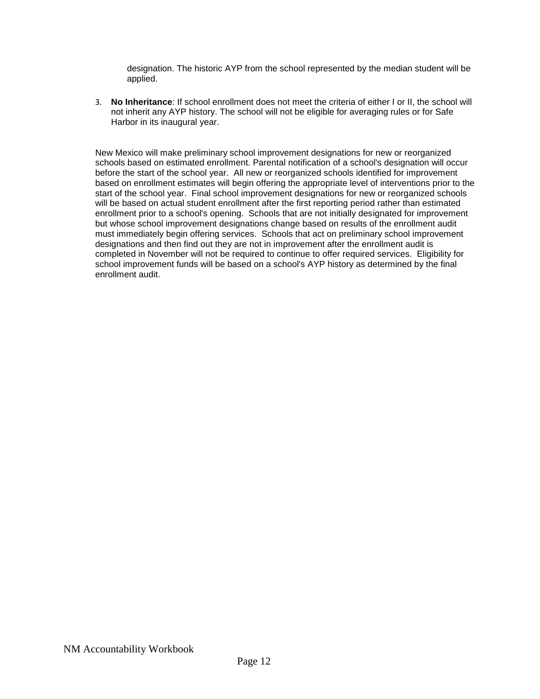designation. The historic AYP from the school represented by the median student will be applied.

3. **No Inheritance**: If school enrollment does not meet the criteria of either I or II, the school will not inherit any AYP history. The school will not be eligible for averaging rules or for Safe Harbor in its inaugural year.

New Mexico will make preliminary school improvement designations for new or reorganized schools based on estimated enrollment. Parental notification of a school's designation will occur before the start of the school year. All new or reorganized schools identified for improvement based on enrollment estimates will begin offering the appropriate level of interventions prior to the start of the school year. Final school improvement designations for new or reorganized schools will be based on actual student enrollment after the first reporting period rather than estimated enrollment prior to a school's opening. Schools that are not initially designated for improvement but whose school improvement designations change based on results of the enrollment audit must immediately begin offering services. Schools that act on preliminary school improvement designations and then find out they are not in improvement after the enrollment audit is completed in November will not be required to continue to offer required services. Eligibility for school improvement funds will be based on a school's AYP history as determined by the final enrollment audit.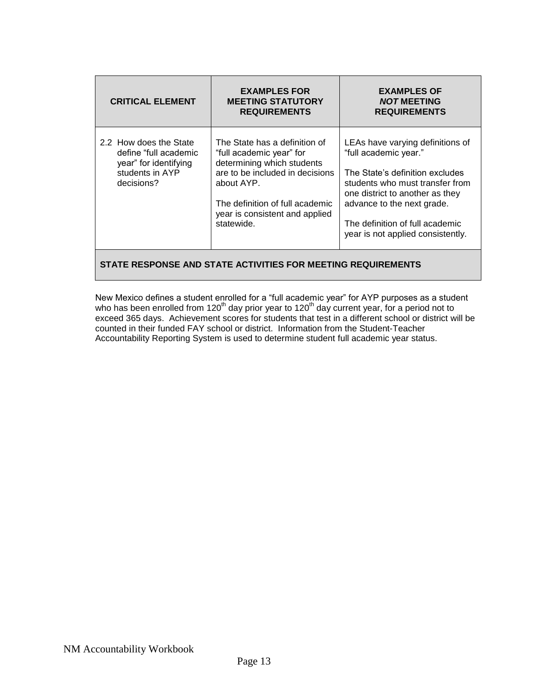| <b>CRITICAL ELEMENT</b>                                                                                   | <b>EXAMPLES FOR</b><br><b>MEETING STATUTORY</b><br><b>REQUIREMENTS</b>                                                                                                                                                      | <b>EXAMPLES OF</b><br><b>NOT MEETING</b><br><b>REQUIREMENTS</b>                                                                                                                                                                                                          |  |
|-----------------------------------------------------------------------------------------------------------|-----------------------------------------------------------------------------------------------------------------------------------------------------------------------------------------------------------------------------|--------------------------------------------------------------------------------------------------------------------------------------------------------------------------------------------------------------------------------------------------------------------------|--|
| 2.2 How does the State<br>define "full academic<br>year" for identifying<br>students in AYP<br>decisions? | The State has a definition of<br>"full academic year" for<br>determining which students<br>are to be included in decisions<br>about AYP.<br>The definition of full academic<br>year is consistent and applied<br>statewide. | LEAs have varying definitions of<br>"full academic year."<br>The State's definition excludes<br>students who must transfer from<br>one district to another as they<br>advance to the next grade.<br>The definition of full academic<br>year is not applied consistently. |  |
| STATE RESPONSE AND STATE ACTIVITIES FOR MEETING REQUIREMENTS                                              |                                                                                                                                                                                                                             |                                                                                                                                                                                                                                                                          |  |

New Mexico defines a student enrolled for a "full academic year" for AYP purposes as a student who has been enrolled from 120<sup>th</sup> day prior year to 120<sup>th</sup> day current year, for a period not to exceed 365 days. Achievement scores for students that test in a different school or district will be counted in their funded FAY school or district. Information from the Student-Teacher Accountability Reporting System is used to determine student full academic year status.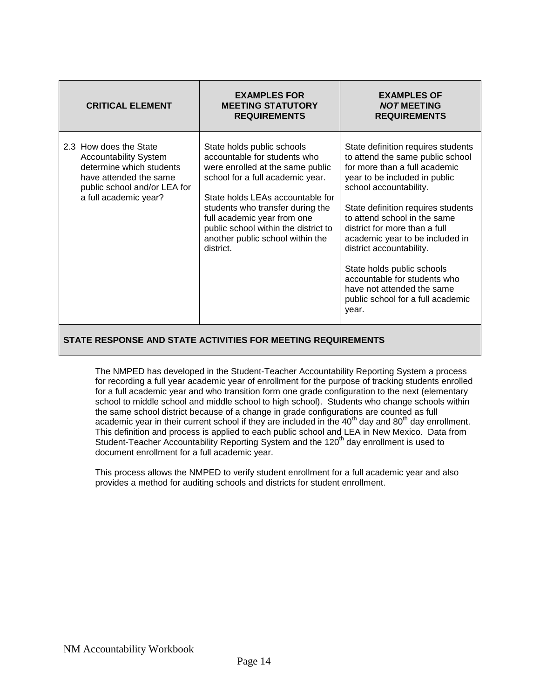| <b>CRITICAL ELEMENT</b>                                                                                                                                               | <b>EXAMPLES FOR</b><br><b>MEETING STATUTORY</b><br><b>REQUIREMENTS</b>                                                                                                                                                                                                                                                             | <b>EXAMPLES OF</b><br><b>NOT MEETING</b><br><b>REQUIREMENTS</b>                                                                                                                                                                                                                                                                                                                                                                                                                    |
|-----------------------------------------------------------------------------------------------------------------------------------------------------------------------|------------------------------------------------------------------------------------------------------------------------------------------------------------------------------------------------------------------------------------------------------------------------------------------------------------------------------------|------------------------------------------------------------------------------------------------------------------------------------------------------------------------------------------------------------------------------------------------------------------------------------------------------------------------------------------------------------------------------------------------------------------------------------------------------------------------------------|
| 2.3 How does the State<br><b>Accountability System</b><br>determine which students<br>have attended the same<br>public school and/or LEA for<br>a full academic year? | State holds public schools<br>accountable for students who<br>were enrolled at the same public<br>school for a full academic year.<br>State holds LEAs accountable for<br>students who transfer during the<br>full academic year from one<br>public school within the district to<br>another public school within the<br>district. | State definition requires students<br>to attend the same public school<br>for more than a full academic<br>year to be included in public<br>school accountability.<br>State definition requires students<br>to attend school in the same<br>district for more than a full<br>academic year to be included in<br>district accountability.<br>State holds public schools<br>accountable for students who<br>have not attended the same<br>public school for a full academic<br>year. |

The NMPED has developed in the Student-Teacher Accountability Reporting System a process for recording a full year academic year of enrollment for the purpose of tracking students enrolled for a full academic year and who transition form one grade configuration to the next (elementary school to middle school and middle school to high school). Students who change schools within the same school district because of a change in grade configurations are counted as full academic year in their current school if they are included in the  $40<sup>th</sup>$  day and  $80<sup>th</sup>$  day enrollment. This definition and process is applied to each public school and LEA in New Mexico. Data from Student-Teacher Accountability Reporting System and the 120<sup>th</sup> day enrollment is used to document enrollment for a full academic year.

This process allows the NMPED to verify student enrollment for a full academic year and also provides a method for auditing schools and districts for student enrollment.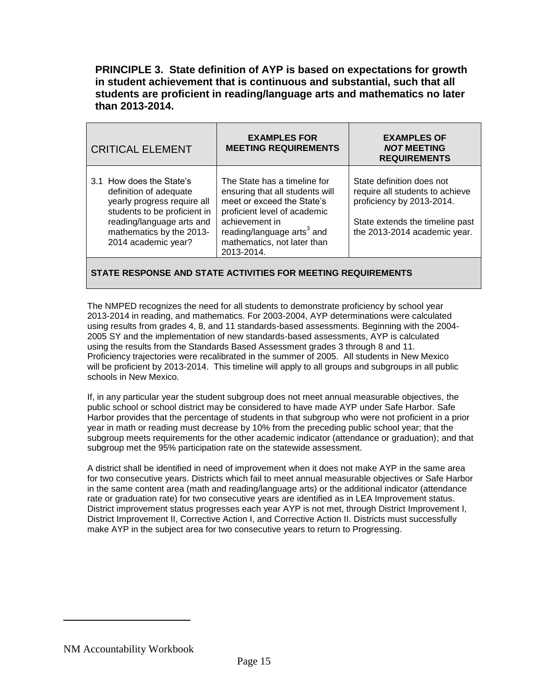**PRINCIPLE 3. State definition of AYP is based on expectations for growth in student achievement that is continuous and substantial, such that all students are proficient in reading/language arts and mathematics no later than 2013-2014.**

| <b>CRITICAL ELEMENT</b>                                                                                                                                                                           | <b>EXAMPLES FOR</b><br><b>MEETING REQUIREMENTS</b>                                                                                                                                                                                     | <b>EXAMPLES OF</b><br><b>NOT MEETING</b><br><b>REQUIREMENTS</b>                                                                                              |
|---------------------------------------------------------------------------------------------------------------------------------------------------------------------------------------------------|----------------------------------------------------------------------------------------------------------------------------------------------------------------------------------------------------------------------------------------|--------------------------------------------------------------------------------------------------------------------------------------------------------------|
| 3.1 How does the State's<br>definition of adequate<br>yearly progress require all<br>students to be proficient in<br>reading/language arts and<br>mathematics by the 2013-<br>2014 academic year? | The State has a timeline for<br>ensuring that all students will<br>meet or exceed the State's<br>proficient level of academic<br>achievement in<br>reading/language arts <sup>3</sup> and<br>mathematics, not later than<br>2013-2014. | State definition does not<br>require all students to achieve<br>proficiency by 2013-2014.<br>State extends the timeline past<br>the 2013-2014 academic year. |

#### **STATE RESPONSE AND STATE ACTIVITIES FOR MEETING REQUIREMENTS**

The NMPED recognizes the need for all students to demonstrate proficiency by school year 2013-2014 in reading, and mathematics. For 2003-2004, AYP determinations were calculated using results from grades 4, 8, and 11 standards-based assessments. Beginning with the 2004- 2005 SY and the implementation of new standards-based assessments, AYP is calculated using the results from the Standards Based Assessment grades 3 through 8 and 11. Proficiency trajectories were recalibrated in the summer of 2005. All students in New Mexico will be proficient by 2013-2014. This timeline will apply to all groups and subgroups in all public schools in New Mexico.

If, in any particular year the student subgroup does not meet annual measurable objectives, the public school or school district may be considered to have made AYP under Safe Harbor. Safe Harbor provides that the percentage of students in that subgroup who were not proficient in a prior year in math or reading must decrease by 10% from the preceding public school year; that the subgroup meets requirements for the other academic indicator (attendance or graduation); and that subgroup met the 95% participation rate on the statewide assessment.

A district shall be identified in need of improvement when it does not make AYP in the same area for two consecutive years. Districts which fail to meet annual measurable objectives or Safe Harbor in the same content area (math and reading/language arts) or the additional indicator (attendance rate or graduation rate) for two consecutive years are identified as in LEA Improvement status. District improvement status progresses each year AYP is not met, through District Improvement I, District Improvement II, Corrective Action I, and Corrective Action II. Districts must successfully make AYP in the subject area for two consecutive years to return to Progressing.

NM Accountability Workbook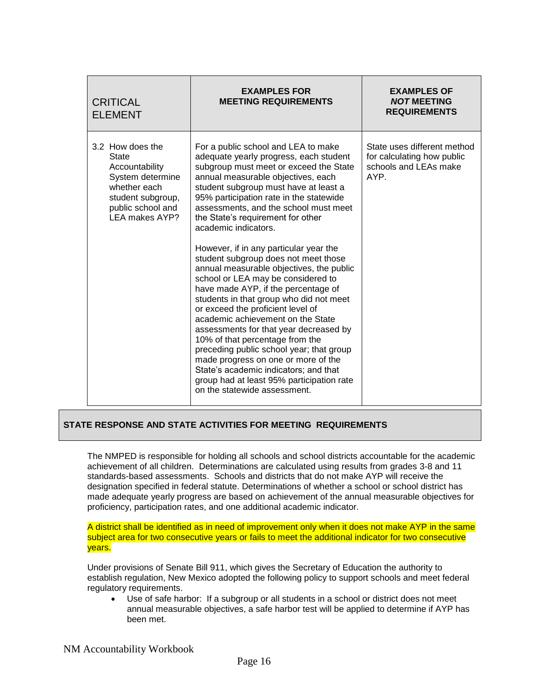| <b>CRITICAL</b><br><b>ELEMENT</b>                                                                                                                  | <b>EXAMPLES FOR</b><br><b>MEETING REQUIREMENTS</b>                                                                                                                                                                                                                                                                                                                                                                                                                                                                                                                                                                                                                                                                                                                                                                                                                                                                                                                            | <b>EXAMPLES OF</b><br><b>NOT MEETING</b><br><b>REQUIREMENTS</b>                            |
|----------------------------------------------------------------------------------------------------------------------------------------------------|-------------------------------------------------------------------------------------------------------------------------------------------------------------------------------------------------------------------------------------------------------------------------------------------------------------------------------------------------------------------------------------------------------------------------------------------------------------------------------------------------------------------------------------------------------------------------------------------------------------------------------------------------------------------------------------------------------------------------------------------------------------------------------------------------------------------------------------------------------------------------------------------------------------------------------------------------------------------------------|--------------------------------------------------------------------------------------------|
| 3.2 How does the<br><b>State</b><br>Accountability<br>System determine<br>whether each<br>student subgroup,<br>public school and<br>LEA makes AYP? | For a public school and LEA to make<br>adequate yearly progress, each student<br>subgroup must meet or exceed the State<br>annual measurable objectives, each<br>student subgroup must have at least a<br>95% participation rate in the statewide<br>assessments, and the school must meet<br>the State's requirement for other<br>academic indicators.<br>However, if in any particular year the<br>student subgroup does not meet those<br>annual measurable objectives, the public<br>school or LEA may be considered to<br>have made AYP, if the percentage of<br>students in that group who did not meet<br>or exceed the proficient level of<br>academic achievement on the State<br>assessments for that year decreased by<br>10% of that percentage from the<br>preceding public school year; that group<br>made progress on one or more of the<br>State's academic indicators; and that<br>group had at least 95% participation rate<br>on the statewide assessment. | State uses different method<br>for calculating how public<br>schools and LEAs make<br>AYP. |

The NMPED is responsible for holding all schools and school districts accountable for the academic achievement of all children. Determinations are calculated using results from grades 3-8 and 11 standards-based assessments. Schools and districts that do not make AYP will receive the designation specified in federal statute. Determinations of whether a school or school district has made adequate yearly progress are based on achievement of the annual measurable objectives for proficiency, participation rates, and one additional academic indicator.

A district shall be identified as in need of improvement only when it does not make AYP in the same subject area for two consecutive years or fails to meet the additional indicator for two consecutive years.

Under provisions of Senate Bill 911, which gives the Secretary of Education the authority to establish regulation, New Mexico adopted the following policy to support schools and meet federal regulatory requirements.

 Use of safe harbor: If a subgroup or all students in a school or district does not meet annual measurable objectives, a safe harbor test will be applied to determine if AYP has been met.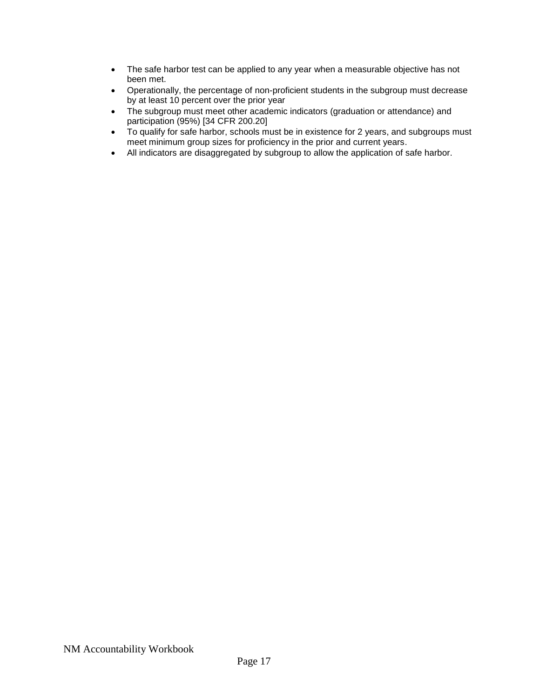- The safe harbor test can be applied to any year when a measurable objective has not been met.
- Operationally, the percentage of non-proficient students in the subgroup must decrease by at least 10 percent over the prior year
- The subgroup must meet other academic indicators (graduation or attendance) and participation (95%) [34 CFR 200.20]
- To qualify for safe harbor, schools must be in existence for 2 years, and subgroups must meet minimum group sizes for proficiency in the prior and current years.
- All indicators are disaggregated by subgroup to allow the application of safe harbor.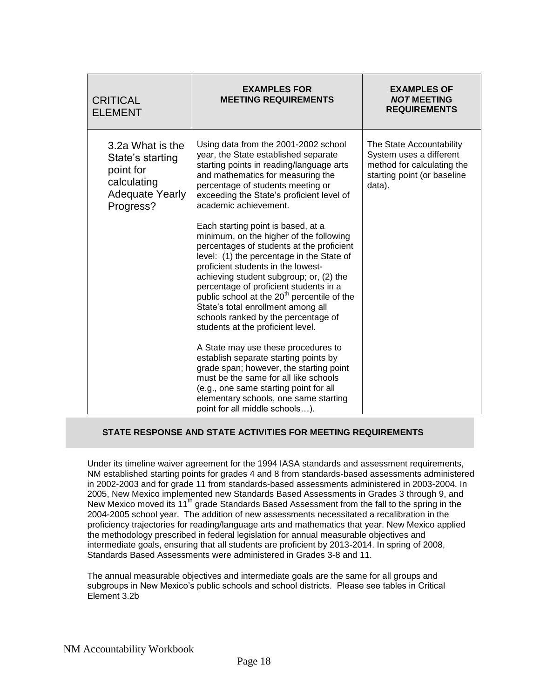| <b>CRITICAL</b><br><b>ELEMENT</b>                                                                       | <b>EXAMPLES FOR</b><br><b>MEETING REQUIREMENTS</b>                                                                                                                                                                                                                                                                                                                                                                                                                                                                                                                                                                                                                                                                                                                                                                                                                                                                                                                                                                                                   | <b>EXAMPLES OF</b><br><b>NOT MEETING</b><br><b>REQUIREMENTS</b>                                                            |
|---------------------------------------------------------------------------------------------------------|------------------------------------------------------------------------------------------------------------------------------------------------------------------------------------------------------------------------------------------------------------------------------------------------------------------------------------------------------------------------------------------------------------------------------------------------------------------------------------------------------------------------------------------------------------------------------------------------------------------------------------------------------------------------------------------------------------------------------------------------------------------------------------------------------------------------------------------------------------------------------------------------------------------------------------------------------------------------------------------------------------------------------------------------------|----------------------------------------------------------------------------------------------------------------------------|
| 3.2a What is the<br>State's starting<br>point for<br>calculating<br><b>Adequate Yearly</b><br>Progress? | Using data from the 2001-2002 school<br>year, the State established separate<br>starting points in reading/language arts<br>and mathematics for measuring the<br>percentage of students meeting or<br>exceeding the State's proficient level of<br>academic achievement.<br>Each starting point is based, at a<br>minimum, on the higher of the following<br>percentages of students at the proficient<br>level: (1) the percentage in the State of<br>proficient students in the lowest-<br>achieving student subgroup; or, (2) the<br>percentage of proficient students in a<br>public school at the 20 <sup>th</sup> percentile of the<br>State's total enrollment among all<br>schools ranked by the percentage of<br>students at the proficient level.<br>A State may use these procedures to<br>establish separate starting points by<br>grade span; however, the starting point<br>must be the same for all like schools<br>(e.g., one same starting point for all<br>elementary schools, one same starting<br>point for all middle schools). | The State Accountability<br>System uses a different<br>method for calculating the<br>starting point (or baseline<br>data). |

Under its timeline waiver agreement for the 1994 IASA standards and assessment requirements, NM established starting points for grades 4 and 8 from standards-based assessments administered in 2002-2003 and for grade 11 from standards-based assessments administered in 2003-2004. In 2005, New Mexico implemented new Standards Based Assessments in Grades 3 through 9, and New Mexico moved its 11<sup>th</sup> grade Standards Based Assessment from the fall to the spring in the 2004-2005 school year. The addition of new assessments necessitated a recalibration in the proficiency trajectories for reading/language arts and mathematics that year. New Mexico applied the methodology prescribed in federal legislation for annual measurable objectives and intermediate goals, ensuring that all students are proficient by 2013-2014. In spring of 2008, Standards Based Assessments were administered in Grades 3-8 and 11.

The annual measurable objectives and intermediate goals are the same for all groups and subgroups in New Mexico's public schools and school districts. Please see tables in Critical Element 3.2b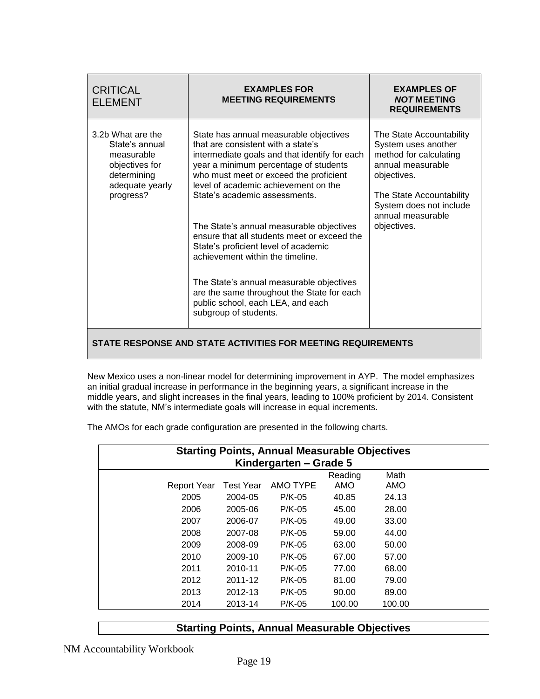| <b>CRITICAL</b><br><b>ELEMENT</b>                                                                                  | <b>EXAMPLES FOR</b><br><b>MEETING REQUIREMENTS</b>                                                                                                                                                                                                                                                                                                                                                                                                                                                                                                                                                                       | <b>EXAMPLES OF</b><br><b>NOT MEETING</b><br><b>REQUIREMENTS</b>                                                                                                                                          |  |  |  |  |  |  |  |
|--------------------------------------------------------------------------------------------------------------------|--------------------------------------------------------------------------------------------------------------------------------------------------------------------------------------------------------------------------------------------------------------------------------------------------------------------------------------------------------------------------------------------------------------------------------------------------------------------------------------------------------------------------------------------------------------------------------------------------------------------------|----------------------------------------------------------------------------------------------------------------------------------------------------------------------------------------------------------|--|--|--|--|--|--|--|
| 3.2b What are the<br>State's annual<br>measurable<br>objectives for<br>determining<br>adequate yearly<br>progress? | State has annual measurable objectives<br>that are consistent with a state's<br>intermediate goals and that identify for each<br>year a minimum percentage of students<br>who must meet or exceed the proficient<br>level of academic achievement on the<br>State's academic assessments.<br>The State's annual measurable objectives<br>ensure that all students meet or exceed the<br>State's proficient level of academic<br>achievement within the timeline.<br>The State's annual measurable objectives<br>are the same throughout the State for each<br>public school, each LEA, and each<br>subgroup of students. | The State Accountability<br>System uses another<br>method for calculating<br>annual measurable<br>objectives.<br>The State Accountability<br>System does not include<br>annual measurable<br>objectives. |  |  |  |  |  |  |  |
|                                                                                                                    |                                                                                                                                                                                                                                                                                                                                                                                                                                                                                                                                                                                                                          | STATE RESPONSE AND STATE ACTIVITIES FOR MEETING REQUIREMENTS                                                                                                                                             |  |  |  |  |  |  |  |

New Mexico uses a non-linear model for determining improvement in AYP. The model emphasizes an initial gradual increase in performance in the beginning years, a significant increase in the middle years, and slight increases in the final years, leading to 100% proficient by 2014. Consistent with the statute, NM's intermediate goals will increase in equal increments.

The AMOs for each grade configuration are presented in the following charts.

| <b>Starting Points, Annual Measurable Objectives</b><br>Kindergarten – Grade 5 |  |  |  |  |  |  |
|--------------------------------------------------------------------------------|--|--|--|--|--|--|
| Math<br>Reading                                                                |  |  |  |  |  |  |
| AMO TYPE<br>AMO<br><b>Test Year</b><br>AMO<br><b>Report Year</b>               |  |  |  |  |  |  |
| 2005<br>24.13<br>2004-05<br>$P/K-05$<br>40.85                                  |  |  |  |  |  |  |
| 2006<br>2005-06<br>$P/K-05$<br>45.00<br>28.00                                  |  |  |  |  |  |  |
| $P/K-05$<br>49.00<br>2007<br>2006-07<br>33.00                                  |  |  |  |  |  |  |
| 2008<br>59.00<br>44.00<br>2007-08<br>$P/K-05$                                  |  |  |  |  |  |  |
| 2009<br>2008-09<br>$P/K-05$<br>63.00<br>50.00                                  |  |  |  |  |  |  |
| 2010<br>2009-10<br>$P/K-05$<br>67.00<br>57.00                                  |  |  |  |  |  |  |
| 77.00<br>2011<br>2010-11<br>$P/K-05$<br>68.00                                  |  |  |  |  |  |  |
| 2012<br>2011-12<br>$P/K-05$<br>81.00<br>79.00                                  |  |  |  |  |  |  |
| 2013<br>2012-13<br>$P/K-05$<br>90.00<br>89.00                                  |  |  |  |  |  |  |
| 2014<br>2013-14<br>$P/K-05$<br>100.00<br>100.00                                |  |  |  |  |  |  |

## **Starting Points, Annual Measurable Objectives**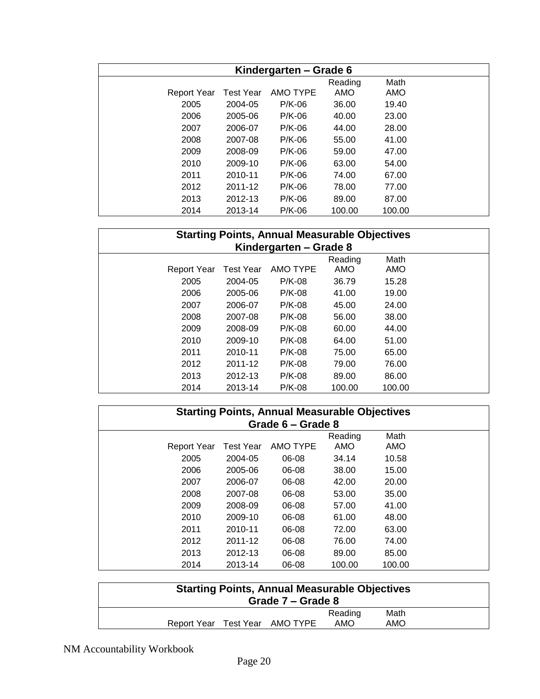| Kindergarten – Grade 6 |                  |          |         |        |  |  |
|------------------------|------------------|----------|---------|--------|--|--|
|                        |                  |          | Reading | Math   |  |  |
| Report Year            | <b>Test Year</b> | AMO TYPE | AMO     | AMO    |  |  |
| 2005                   | 2004-05          | $P/K-06$ | 36.00   | 19.40  |  |  |
| 2006                   | 2005-06          | $P/K-06$ | 40.00   | 23.00  |  |  |
| 2007                   | 2006-07          | $P/K-06$ | 44.00   | 28.00  |  |  |
| 2008                   | 2007-08          | $P/K-06$ | 55.00   | 41.00  |  |  |
| 2009                   | 2008-09          | $P/K-06$ | 59.00   | 47.00  |  |  |
| 2010                   | 2009-10          | $P/K-06$ | 63.00   | 54.00  |  |  |
| 2011                   | 2010-11          | $P/K-06$ | 74.00   | 67.00  |  |  |
| 2012                   | 2011-12          | $P/K-06$ | 78.00   | 77.00  |  |  |
| 2013                   | 2012-13          | $P/K-06$ | 89.00   | 87.00  |  |  |
| 2014                   | 2013-14          | $P/K-06$ | 100.00  | 100.00 |  |  |

| <b>Starting Points, Annual Measurable Objectives</b><br>Kindergarten – Grade 8 |                                                                      |          |        |        |  |  |  |  |
|--------------------------------------------------------------------------------|----------------------------------------------------------------------|----------|--------|--------|--|--|--|--|
| <b>Report Year</b>                                                             | Math<br>Reading<br><b>AMO TYPE</b><br>AMO<br>AMO<br><b>Test Year</b> |          |        |        |  |  |  |  |
| 2005                                                                           | 2004-05                                                              | $P/K-08$ | 36.79  | 15.28  |  |  |  |  |
| 2006                                                                           | 2005-06                                                              | $P/K-08$ | 41.00  | 19.00  |  |  |  |  |
| 2007                                                                           | 2006-07                                                              | $P/K-08$ | 45.00  | 24.00  |  |  |  |  |
| 2008                                                                           | 2007-08                                                              | $P/K-08$ | 56.00  | 38.00  |  |  |  |  |
| 2009                                                                           | 2008-09                                                              | $P/K-08$ | 60.00  | 44.00  |  |  |  |  |
| 2010                                                                           | 2009-10                                                              | $P/K-08$ | 64.00  | 51.00  |  |  |  |  |
| 2011                                                                           | 2010-11                                                              | $P/K-08$ | 75.00  | 65.00  |  |  |  |  |
| 2012                                                                           | 2011-12                                                              | $P/K-08$ | 79.00  | 76.00  |  |  |  |  |
| 2013                                                                           | 2012-13                                                              | $P/K-08$ | 89.00  | 86.00  |  |  |  |  |
| 2014                                                                           | 2013-14                                                              | $P/K-08$ | 100.00 | 100.00 |  |  |  |  |

| <b>Starting Points, Annual Measurable Objectives</b><br>Grade 6 - Grade 8 |                  |          |                       |             |  |  |
|---------------------------------------------------------------------------|------------------|----------|-----------------------|-------------|--|--|
| <b>Report Year</b>                                                        | <b>Test Year</b> | AMO TYPE | Reading<br><b>AMO</b> | Math<br>AMO |  |  |
| 2005                                                                      | 2004-05          | 06-08    | 34.14                 | 10.58       |  |  |
| 2006                                                                      | 2005-06          | 06-08    | 38.00                 | 15.00       |  |  |
| 2007                                                                      | 2006-07          | 06-08    | 42.00                 | 20.00       |  |  |
| 2008                                                                      | 2007-08          | 06-08    | 53.00                 | 35.00       |  |  |
| 2009                                                                      | 2008-09          | 06-08    | 57.00                 | 41.00       |  |  |
| 2010                                                                      | 2009-10          | 06-08    | 61.00                 | 48.00       |  |  |
| 2011                                                                      | 2010-11          | 06-08    | 72.00                 | 63.00       |  |  |
| 2012                                                                      | 2011-12          | 06-08    | 76.00                 | 74.00       |  |  |
| 2013                                                                      | 2012-13          | 06-08    | 89.00                 | 85.00       |  |  |
| 2014                                                                      | 2013-14          | 06-08    | 100.00                | 100.00      |  |  |

| <b>Starting Points, Annual Measurable Objectives</b><br>Grade 7 – Grade 8 |  |                                |         |      |  |
|---------------------------------------------------------------------------|--|--------------------------------|---------|------|--|
|                                                                           |  |                                | Reading | Math |  |
|                                                                           |  | Report Year Test Year AMO TYPE | AMO     | AMO  |  |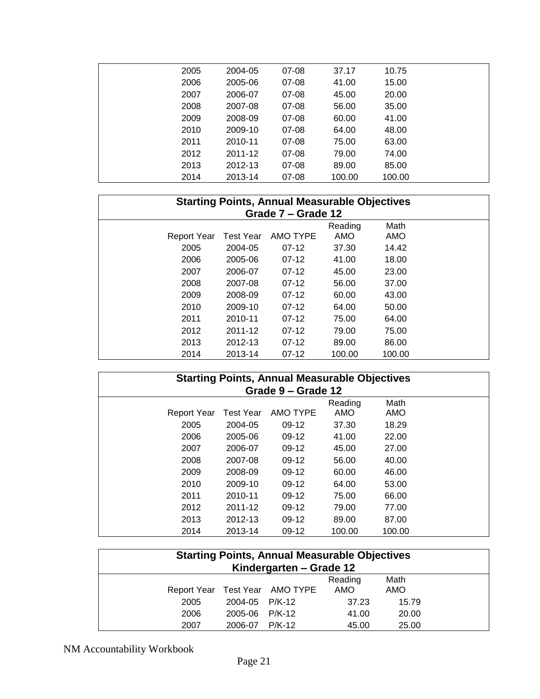| 2005 | 2004-05         | 07-08     | 37.17  | 10.75  |  |
|------|-----------------|-----------|--------|--------|--|
| 2006 | 2005-06         | 07-08     | 41.00  | 15.00  |  |
| 2007 | 2006-07         | 07-08     | 45.00  | 20.00  |  |
| 2008 | 2007-08         | 07-08     | 56.00  | 35.00  |  |
| 2009 | 2008-09         | 07-08     | 60.00  | 41.00  |  |
| 2010 | 2009-10         | 07-08     | 64.00  | 48.00  |  |
| 2011 | 2010-11         | 07-08     | 75.00  | 63.00  |  |
|      | 2012<br>2011-12 | $07 - 08$ | 79.00  | 74.00  |  |
| 2013 | 2012-13         | 07-08     | 89.00  | 85.00  |  |
| 2014 | 2013-14         | 07-08     | 100.00 | 100.00 |  |

| <b>Starting Points, Annual Measurable Objectives</b><br>Grade 7 – Grade 12 |                  |          |                |             |  |  |
|----------------------------------------------------------------------------|------------------|----------|----------------|-------------|--|--|
| Report Year                                                                | <b>Test Year</b> | AMO TYPE | Reading<br>AMO | Math<br>AMO |  |  |
| 2005                                                                       | 2004-05          | $07-12$  | 37.30          | 14.42       |  |  |
| 2006                                                                       | 2005-06          | $07-12$  | 41.00          | 18.00       |  |  |
| 2007                                                                       | 2006-07          | $07-12$  | 45.00          | 23.00       |  |  |
| 2008                                                                       | 2007-08          | $07-12$  | 56.00          | 37.00       |  |  |
| 2009                                                                       | 2008-09          | $07-12$  | 60.00          | 43.00       |  |  |
| 2010                                                                       | 2009-10          | $07-12$  | 64.00          | 50.00       |  |  |
| 2011                                                                       | 2010-11          | $07-12$  | 75.00          | 64.00       |  |  |
| 2012                                                                       | 2011-12          | $07-12$  | 79.00          | 75.00       |  |  |
| 2013                                                                       | 2012-13          | $07-12$  | 89.00          | 86.00       |  |  |
| 2014                                                                       | 2013-14          | $07-12$  | 100.00         | 100.00      |  |  |

| <b>Starting Points, Annual Measurable Objectives</b><br>Grade 9 – Grade 12 |                                                        |         |        |        |  |  |  |  |
|----------------------------------------------------------------------------|--------------------------------------------------------|---------|--------|--------|--|--|--|--|
| <b>Report Year</b>                                                         | Math<br>Reading<br>AMO TYPE<br>Test Year<br>AMO<br>AMO |         |        |        |  |  |  |  |
| 2005                                                                       | 2004-05                                                | $09-12$ | 37.30  | 18.29  |  |  |  |  |
| 2006                                                                       | 2005-06                                                | $09-12$ | 41.00  | 22.00  |  |  |  |  |
| 2007                                                                       | 2006-07                                                | $09-12$ | 45.00  | 27.00  |  |  |  |  |
| 2008                                                                       | 2007-08                                                | $09-12$ | 56.00  | 40.00  |  |  |  |  |
| 2009                                                                       | 2008-09                                                | $09-12$ | 60.00  | 46.00  |  |  |  |  |
| 2010                                                                       | 2009-10                                                | $09-12$ | 64.00  | 53.00  |  |  |  |  |
| 2011                                                                       | 2010-11                                                | $09-12$ | 75.00  | 66.00  |  |  |  |  |
| 2012                                                                       | 2011-12                                                | $09-12$ | 79.00  | 77.00  |  |  |  |  |
| 2013                                                                       | 2012-13                                                | $09-12$ | 89.00  | 87.00  |  |  |  |  |
| 2014                                                                       | 2013-14                                                | $09-12$ | 100.00 | 100.00 |  |  |  |  |

| <b>Starting Points, Annual Measurable Objectives</b><br>Kindergarten – Grade 12 |                |                                |                |             |  |  |  |
|---------------------------------------------------------------------------------|----------------|--------------------------------|----------------|-------------|--|--|--|
|                                                                                 |                | Report Year Test Year AMO TYPE | Reading<br>AMO | Math<br>AMO |  |  |  |
| 2005                                                                            | 2004-05 P/K-12 |                                | 37.23          | 15.79       |  |  |  |
| 2006                                                                            | 2005-06 P/K-12 |                                | 41.00          | 20.00       |  |  |  |
| 2007                                                                            | 2006-07 P/K-12 |                                | 45.00          | 25.00       |  |  |  |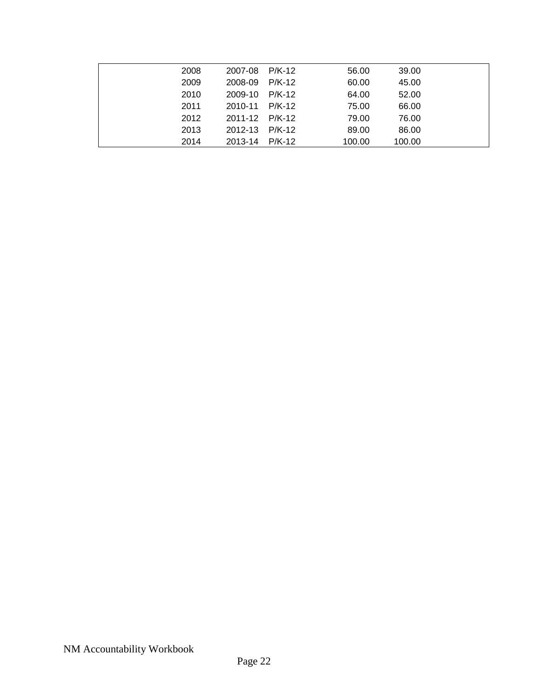| 2008 | 2007-08        | P/K-12 | 56.00  | 39.00  |  |
|------|----------------|--------|--------|--------|--|
| 2009 | 2008-09        | P/K-12 | 60.00  | 45.00  |  |
| 2010 | 2009-10        | P/K-12 | 64.00  | 52.00  |  |
| 2011 | 2010-11 P/K-12 |        | 75.00  | 66.00  |  |
| 2012 | 2011-12 P/K-12 |        | 79.00  | 76.00  |  |
| 2013 | 2012-13 P/K-12 |        | 89.00  | 86.00  |  |
| 2014 | 2013-14        | P/K-12 | 100.00 | 100.00 |  |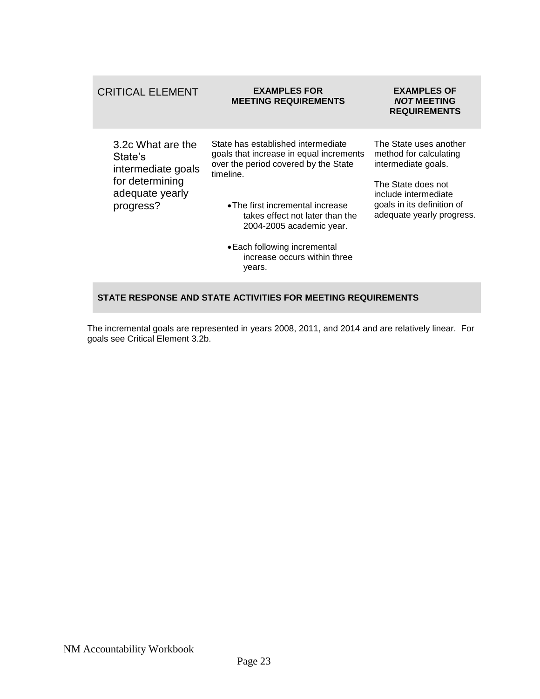| <b>CRITICAL ELEMENT</b>                                                                               | <b>EXAMPLES FOR</b><br><b>MEETING REQUIREMENTS</b>                                                                                                                                                                                                                                                              | <b>EXAMPLES OF</b><br><b>NOT MEETING</b><br><b>REQUIREMENTS</b>                                                                                                                  |
|-------------------------------------------------------------------------------------------------------|-----------------------------------------------------------------------------------------------------------------------------------------------------------------------------------------------------------------------------------------------------------------------------------------------------------------|----------------------------------------------------------------------------------------------------------------------------------------------------------------------------------|
| 3.2c What are the<br>State's<br>intermediate goals<br>for determining<br>adequate yearly<br>progress? | State has established intermediate<br>goals that increase in equal increments<br>over the period covered by the State<br>timeline.<br>• The first incremental increase<br>takes effect not later than the<br>2004-2005 academic year.<br>• Each following incremental<br>increase occurs within three<br>years. | The State uses another<br>method for calculating<br>intermediate goals.<br>The State does not<br>include intermediate<br>goals in its definition of<br>adequate yearly progress. |

The incremental goals are represented in years 2008, 2011, and 2014 and are relatively linear. For goals see Critical Element 3.2b.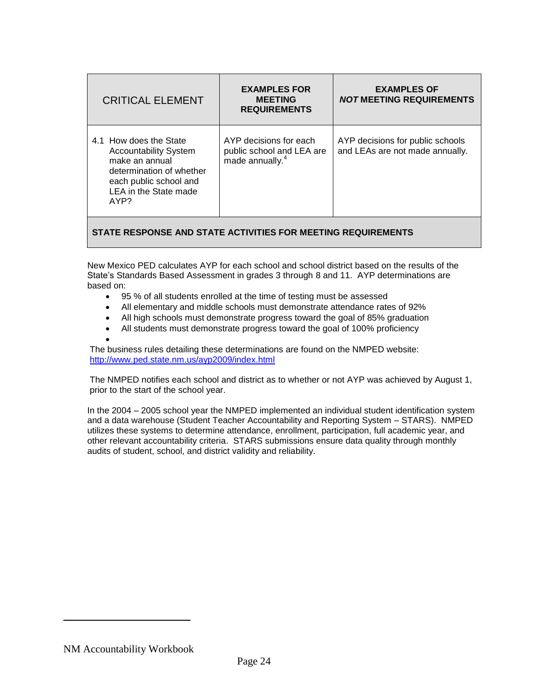| <b>CRITICAL ELEMENT</b>                                                                                                                                         | <b>EXAMPLES FOR</b><br><b>MEETING</b><br><b>REQUIREMENTS</b>                       | <b>EXAMPLES OF</b><br><b>NOT MEETING REQUIREMENTS</b>               |
|-----------------------------------------------------------------------------------------------------------------------------------------------------------------|------------------------------------------------------------------------------------|---------------------------------------------------------------------|
| 4.1 How does the State<br><b>Accountability System</b><br>make an annual<br>determination of whether<br>each public school and<br>LEA in the State made<br>AYP? | AYP decisions for each<br>public school and LEA are<br>made annually. <sup>4</sup> | AYP decisions for public schools<br>and LEAs are not made annually. |

New Mexico PED calculates AYP for each school and school district based on the results of the State's Standards Based Assessment in grades 3 through 8 and 11. AYP determinations are based on:

- 95 % of all students enrolled at the time of testing must be assessed
- All elementary and middle schools must demonstrate attendance rates of 92%
- All high schools must demonstrate progress toward the goal of 85% graduation
- All students must demonstrate progress toward the goal of 100% proficiency
- $\bullet$

The business rules detailing these determinations are found on the NMPED website: <http://www.ped.state.nm.us/ayp2009/index.html>

The NMPED notifies each school and district as to whether or not AYP was achieved by August 1, prior to the start of the school year.

In the 2004 – 2005 school year the NMPED implemented an individual student identification system and a data warehouse (Student Teacher Accountability and Reporting System – STARS). NMPED utilizes these systems to determine attendance, enrollment, participation, full academic year, and other relevant accountability criteria. STARS submissions ensure data quality through monthly audits of student, school, and district validity and reliability.

NM Accountability Workbook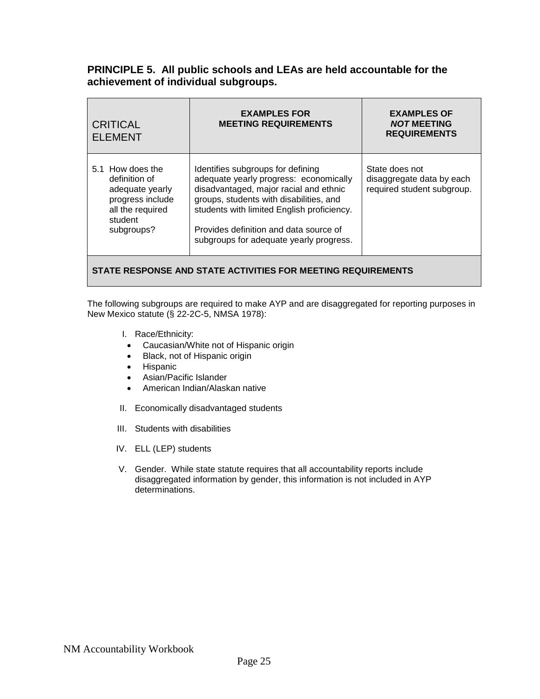#### **PRINCIPLE 5. All public schools and LEAs are held accountable for the achievement of individual subgroups.**

| <b>ELEMENT</b>                                                                                                        |                                                                                                                                                                                                                                                                                                     | <b>REQUIREMENTS</b>                                                       |
|-----------------------------------------------------------------------------------------------------------------------|-----------------------------------------------------------------------------------------------------------------------------------------------------------------------------------------------------------------------------------------------------------------------------------------------------|---------------------------------------------------------------------------|
| 5.1 How does the<br>definition of<br>adequate yearly<br>progress include<br>all the required<br>student<br>subgroups? | Identifies subgroups for defining<br>adequate yearly progress: economically<br>disadvantaged, major racial and ethnic<br>groups, students with disabilities, and<br>students with limited English proficiency.<br>Provides definition and data source of<br>subgroups for adequate yearly progress. | State does not<br>disaggregate data by each<br>required student subgroup. |

#### **STATE RESPONSE AND STATE ACTIVITIES FOR MEETING REQUIREMENTS**

The following subgroups are required to make AYP and are disaggregated for reporting purposes in New Mexico statute (§ 22-2C-5, NMSA 1978):

- I. Race/Ethnicity:
- Caucasian/White not of Hispanic origin
- Black, not of Hispanic origin
- **•** Hispanic
- Asian/Pacific Islander
- American Indian/Alaskan native
- II. Economically disadvantaged students
- III. Students with disabilities
- IV. ELL (LEP) students
- V. Gender. While state statute requires that all accountability reports include disaggregated information by gender, this information is not included in AYP determinations.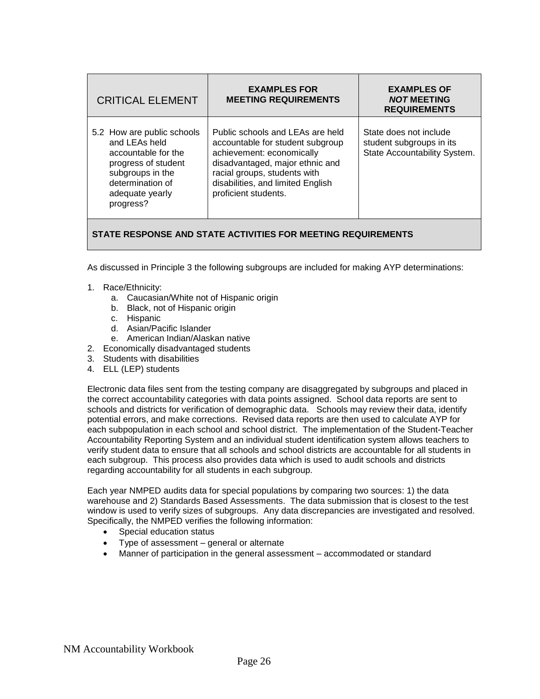| <b>CRITICAL ELEMENT</b>                                                                                                                                           | <b>EXAMPLES FOR</b><br><b>MEETING REQUIREMENTS</b>                                                                                                                                                                                | <b>EXAMPLES OF</b><br><b>NOT MEETING</b><br><b>REQUIREMENTS</b>                    |
|-------------------------------------------------------------------------------------------------------------------------------------------------------------------|-----------------------------------------------------------------------------------------------------------------------------------------------------------------------------------------------------------------------------------|------------------------------------------------------------------------------------|
| 5.2 How are public schools<br>and LEAs held<br>accountable for the<br>progress of student<br>subgroups in the<br>determination of<br>adequate yearly<br>progress? | Public schools and LEAs are held<br>accountable for student subgroup<br>achievement: economically<br>disadvantaged, major ethnic and<br>racial groups, students with<br>disabilities, and limited English<br>proficient students. | State does not include<br>student subgroups in its<br>State Accountability System. |

As discussed in Principle 3 the following subgroups are included for making AYP determinations:

- 1. Race/Ethnicity:
	- a. Caucasian/White not of Hispanic origin
	- b. Black, not of Hispanic origin
	- c. Hispanic
	- d. Asian/Pacific Islander
	- e. American Indian/Alaskan native
- 2. Economically disadvantaged students
- 3. Students with disabilities
- 4. ELL (LEP) students

Electronic data files sent from the testing company are disaggregated by subgroups and placed in the correct accountability categories with data points assigned. School data reports are sent to schools and districts for verification of demographic data. Schools may review their data, identify potential errors, and make corrections. Revised data reports are then used to calculate AYP for each subpopulation in each school and school district. The implementation of the Student-Teacher Accountability Reporting System and an individual student identification system allows teachers to verify student data to ensure that all schools and school districts are accountable for all students in each subgroup. This process also provides data which is used to audit schools and districts regarding accountability for all students in each subgroup.

Each year NMPED audits data for special populations by comparing two sources: 1) the data warehouse and 2) Standards Based Assessments. The data submission that is closest to the test window is used to verify sizes of subgroups. Any data discrepancies are investigated and resolved. Specifically, the NMPED verifies the following information:

- Special education status
- Type of assessment general or alternate
- Manner of participation in the general assessment accommodated or standard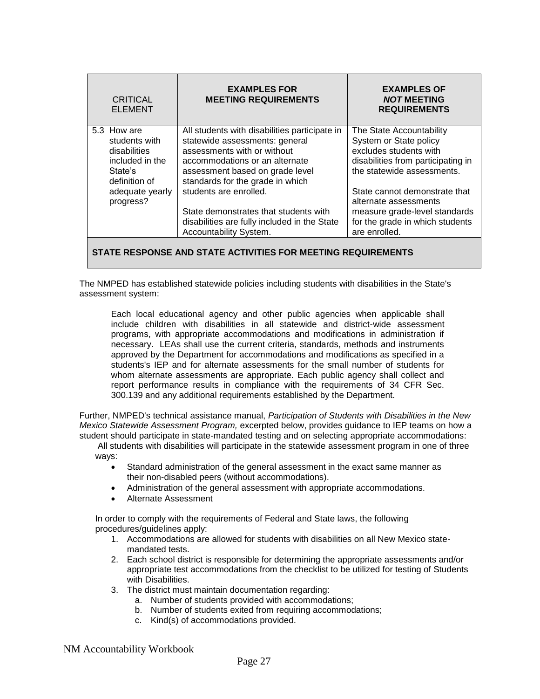| <b>CRITICAL</b><br><b>ELEMENT</b> | <b>EXAMPLES FOR</b><br><b>MEETING REQUIREMENTS</b>                              | <b>EXAMPLES OF</b><br><b>NOT MEETING</b><br><b>REQUIREMENTS</b> |
|-----------------------------------|---------------------------------------------------------------------------------|-----------------------------------------------------------------|
| 5.3 How are<br>students with      | All students with disabilities participate in<br>statewide assessments: general | The State Accountability<br>System or State policy              |
| disabilities                      | assessments with or without                                                     | excludes students with                                          |
| included in the                   | accommodations or an alternate                                                  | disabilities from participating in                              |
| State's<br>definition of          | assessment based on grade level<br>standards for the grade in which             | the statewide assessments.                                      |
| adequate yearly<br>progress?      | students are enrolled.                                                          | State cannot demonstrate that<br>alternate assessments          |
|                                   | State demonstrates that students with                                           | measure grade-level standards                                   |
|                                   | disabilities are fully included in the State<br>Accountability System.          | for the grade in which students<br>are enrolled.                |
|                                   |                                                                                 |                                                                 |

The NMPED has established statewide policies including students with disabilities in the State's assessment system:

Each local educational agency and other public agencies when applicable shall include children with disabilities in all statewide and district-wide assessment programs, with appropriate accommodations and modifications in administration if necessary. LEAs shall use the current criteria, standards, methods and instruments approved by the Department for accommodations and modifications as specified in a students's IEP and for alternate assessments for the small number of students for whom alternate assessments are appropriate. Each public agency shall collect and report performance results in compliance with the requirements of 34 CFR Sec. 300.139 and any additional requirements established by the Department.

Further, NMPED's technical assistance manual, *Participation of Students with Disabilities in the New Mexico Statewide Assessment Program,* excerpted below, provides guidance to IEP teams on how a student should participate in state-mandated testing and on selecting appropriate accommodations:

All students with disabilities will participate in the statewide assessment program in one of three ways:

- Standard administration of the general assessment in the exact same manner as their non-disabled peers (without accommodations).
- Administration of the general assessment with appropriate accommodations.
- Alternate Assessment

In order to comply with the requirements of Federal and State laws, the following procedures/guidelines apply:

- 1. Accommodations are allowed for students with disabilities on all New Mexico statemandated tests.
- 2. Each school district is responsible for determining the appropriate assessments and/or appropriate test accommodations from the checklist to be utilized for testing of Students with Disabilities.
- 3. The district must maintain documentation regarding:
	- a. Number of students provided with accommodations;
	- b. Number of students exited from requiring accommodations;
	- c. Kind(s) of accommodations provided.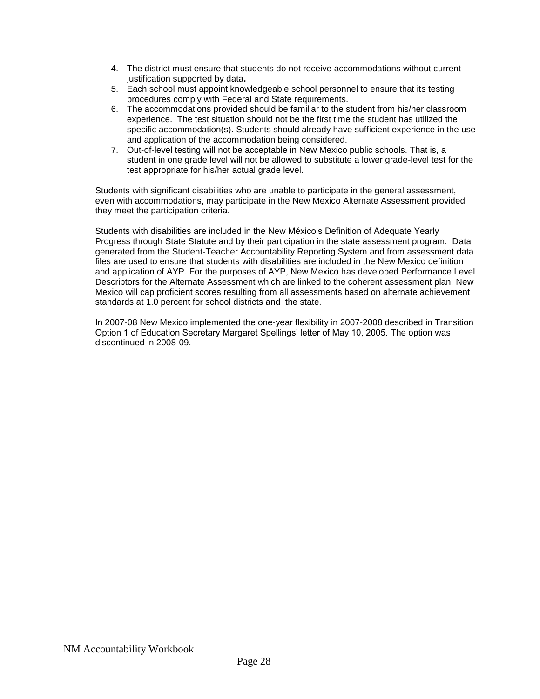- 4. The district must ensure that students do not receive accommodations without current justification supported by data**.**
- 5. Each school must appoint knowledgeable school personnel to ensure that its testing procedures comply with Federal and State requirements.
- 6. The accommodations provided should be familiar to the student from his/her classroom experience. The test situation should not be the first time the student has utilized the specific accommodation(s). Students should already have sufficient experience in the use and application of the accommodation being considered.
- 7. Out-of-level testing will not be acceptable in New Mexico public schools. That is, a student in one grade level will not be allowed to substitute a lower grade-level test for the test appropriate for his/her actual grade level.

Students with significant disabilities who are unable to participate in the general assessment, even with accommodations, may participate in the New Mexico Alternate Assessment provided they meet the participation criteria.

Students with disabilities are included in the New México's Definition of Adequate Yearly Progress through State Statute and by their participation in the state assessment program. Data generated from the Student-Teacher Accountability Reporting System and from assessment data files are used to ensure that students with disabilities are included in the New Mexico definition and application of AYP. For the purposes of AYP, New Mexico has developed Performance Level Descriptors for the Alternate Assessment which are linked to the coherent assessment plan. New Mexico will cap proficient scores resulting from all assessments based on alternate achievement standards at 1.0 percent for school districts and the state.

In 2007-08 New Mexico implemented the one-year flexibility in 2007-2008 described in Transition Option 1 of Education Secretary Margaret Spellings' letter of May 10, 2005. The option was discontinued in 2008-09.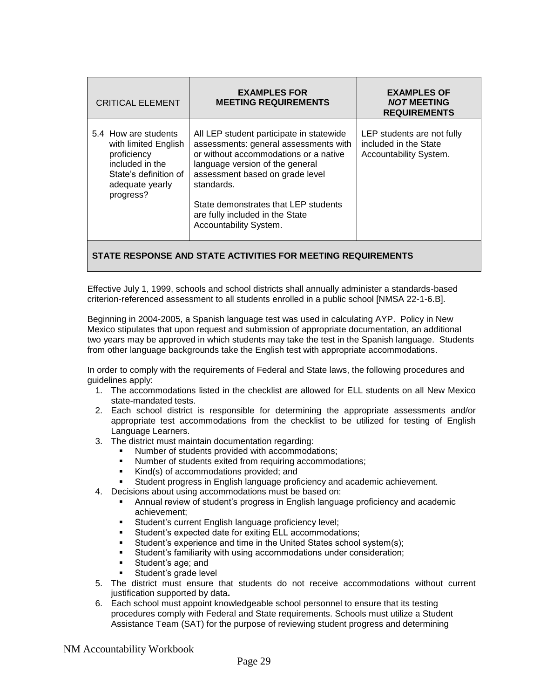| <b>CRITICAL ELEMENT</b>                                                                                                                 | <b>EXAMPLES FOR</b><br><b>MEETING REQUIREMENTS</b>                                                                                                                                                                                                                                                                  | <b>EXAMPLES OF</b><br><b>NOT MEETING</b><br><b>REQUIREMENTS</b>               |
|-----------------------------------------------------------------------------------------------------------------------------------------|---------------------------------------------------------------------------------------------------------------------------------------------------------------------------------------------------------------------------------------------------------------------------------------------------------------------|-------------------------------------------------------------------------------|
| 5.4 How are students<br>with limited English<br>proficiency<br>included in the<br>State's definition of<br>adequate yearly<br>progress? | All LEP student participate in statewide<br>assessments: general assessments with<br>or without accommodations or a native<br>language version of the general<br>assessment based on grade level<br>standards.<br>State demonstrates that LEP students<br>are fully included in the State<br>Accountability System. | LEP students are not fully<br>included in the State<br>Accountability System. |

Effective July 1, 1999, schools and school districts shall annually administer a standards-based criterion-referenced assessment to all students enrolled in a public school [NMSA 22-1-6.B].

Beginning in 2004-2005, a Spanish language test was used in calculating AYP. Policy in New Mexico stipulates that upon request and submission of appropriate documentation, an additional two years may be approved in which students may take the test in the Spanish language. Students from other language backgrounds take the English test with appropriate accommodations.

In order to comply with the requirements of Federal and State laws, the following procedures and quidelines apply:

- 1. The accommodations listed in the checklist are allowed for ELL students on all New Mexico state-mandated tests.
- 2. Each school district is responsible for determining the appropriate assessments and/or appropriate test accommodations from the checklist to be utilized for testing of English Language Learners.
- 3. The district must maintain documentation regarding:
	- Number of students provided with accommodations;
	- Number of students exited from requiring accommodations;
	- Kind(s) of accommodations provided; and
	- Student progress in English language proficiency and academic achievement.
- 4. Decisions about using accommodations must be based on:
	- Annual review of student's progress in English language proficiency and academic achievement;
	- Student's current English language proficiency level;
	- Student's expected date for exiting ELL accommodations;
	- Student's experience and time in the United States school system(s);
	- Student's familiarity with using accommodations under consideration;
	- Student's age; and
	- Student's grade level
- 5. The district must ensure that students do not receive accommodations without current justification supported by data**.**
- 6. Each school must appoint knowledgeable school personnel to ensure that its testing procedures comply with Federal and State requirements. Schools must utilize a Student Assistance Team (SAT) for the purpose of reviewing student progress and determining

NM Accountability Workbook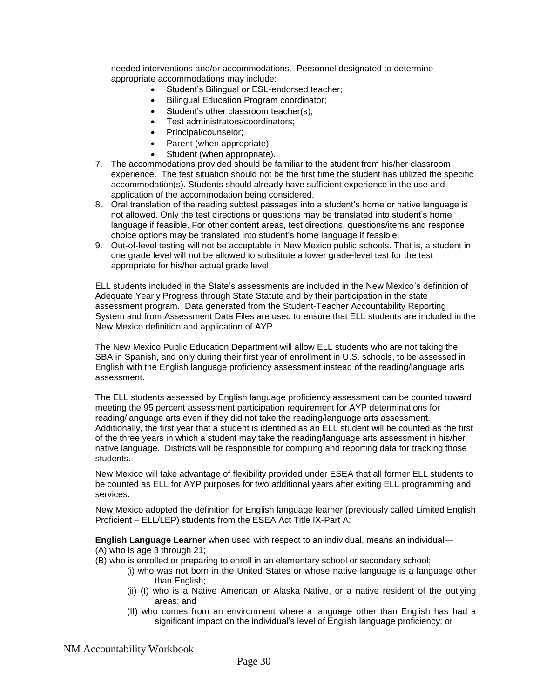needed interventions and/or accommodations. Personnel designated to determine appropriate accommodations may include:

- Student's Bilingual or ESL-endorsed teacher;
- Bilingual Education Program coordinator;
- Student's other classroom teacher(s);
- Test administrators/coordinators;
- Principal/counselor:
- Parent (when appropriate);
- Student (when appropriate).
- 7. The accommodations provided should be familiar to the student from his/her classroom experience. The test situation should not be the first time the student has utilized the specific accommodation(s). Students should already have sufficient experience in the use and application of the accommodation being considered.
- 8. Oral translation of the reading subtest passages into a student's home or native language is not allowed. Only the test directions or questions may be translated into student's home language if feasible. For other content areas, test directions, questions/items and response choice options may be translated into student's home language if feasible.
- 9. Out-of-level testing will not be acceptable in New Mexico public schools. That is, a student in one grade level will not be allowed to substitute a lower grade-level test for the test appropriate for his/her actual grade level.

ELL students included in the State's assessments are included in the New Mexico's definition of Adequate Yearly Progress through State Statute and by their participation in the state assessment program. Data generated from the Student-Teacher Accountability Reporting System and from Assessment Data Files are used to ensure that ELL students are included in the New Mexico definition and application of AYP.

The New Mexico Public Education Department will allow ELL students who are not taking the SBA in Spanish, and only during their first year of enrollment in U.S. schools, to be assessed in English with the English language proficiency assessment instead of the reading/language arts assessment.

The ELL students assessed by English language proficiency assessment can be counted toward meeting the 95 percent assessment participation requirement for AYP determinations for reading/language arts even if they did not take the reading/language arts assessment. Additionally, the first year that a student is identified as an ELL student will be counted as the first of the three years in which a student may take the reading/language arts assessment in his/her native language. Districts will be responsible for compiling and reporting data for tracking those students.

New Mexico will take advantage of flexibility provided under ESEA that all former ELL students to be counted as ELL for AYP purposes for two additional years after exiting ELL programming and services.

New Mexico adopted the definition for English language learner (previously called Limited English Proficient – ELL/LEP) students from the ESEA Act Title IX-Part A:

**English Language Learner** when used with respect to an individual, means an individual—

#### (A) who is age 3 through 21;

- (B) who is enrolled or preparing to enroll in an elementary school or secondary school;
	- (i) who was not born in the United States or whose native language is a language other than English:
	- (ii) (I) who is a Native American or Alaska Native, or a native resident of the outlying areas; and
	- (II) who comes from an environment where a language other than English has had a significant impact on the individual's level of English language proficiency; or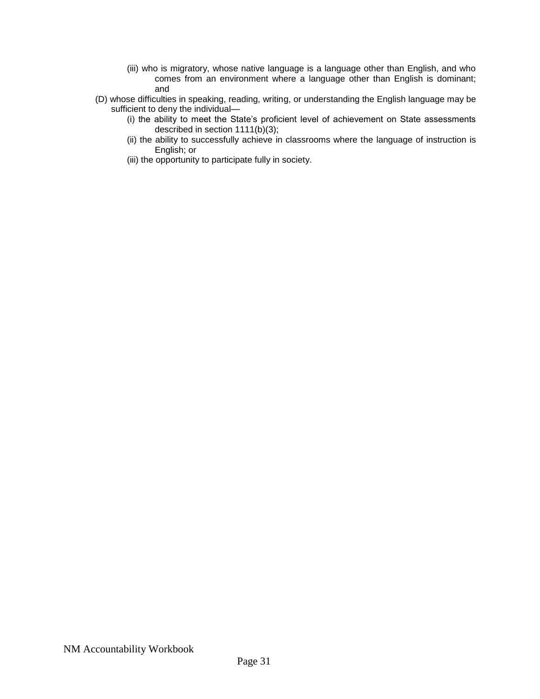- (iii) who is migratory, whose native language is a language other than English, and who comes from an environment where a language other than English is dominant; and
- (D) whose difficulties in speaking, reading, writing, or understanding the English language may be sufficient to deny the individual—
	- (i) the ability to meet the State's proficient level of achievement on State assessments described in section 1111(b)(3);
	- (ii) the ability to successfully achieve in classrooms where the language of instruction is English; or
	- (iii) the opportunity to participate fully in society.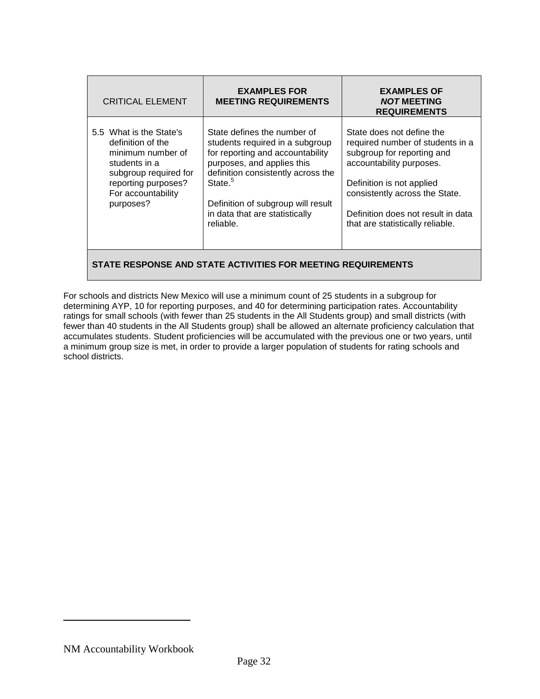| <b>CRITICAL ELEMENT</b>                                                                                                                                               | <b>EXAMPLES FOR</b><br><b>MEETING REQUIREMENTS</b>                                                                                                                                                                                                                                 | <b>EXAMPLES OF</b><br><b>NOT MEETING</b><br><b>REQUIREMENTS</b>                                                                                                                                                                                                  |  |
|-----------------------------------------------------------------------------------------------------------------------------------------------------------------------|------------------------------------------------------------------------------------------------------------------------------------------------------------------------------------------------------------------------------------------------------------------------------------|------------------------------------------------------------------------------------------------------------------------------------------------------------------------------------------------------------------------------------------------------------------|--|
| 5.5 What is the State's<br>definition of the<br>minimum number of<br>students in a<br>subgroup required for<br>reporting purposes?<br>For accountability<br>purposes? | State defines the number of<br>students required in a subgroup<br>for reporting and accountability<br>purposes, and applies this<br>definition consistently across the<br>State. <sup>5</sup><br>Definition of subgroup will result<br>in data that are statistically<br>reliable. | State does not define the<br>required number of students in a<br>subgroup for reporting and<br>accountability purposes.<br>Definition is not applied<br>consistently across the State.<br>Definition does not result in data<br>that are statistically reliable. |  |
| STATE RESPONSE AND STATE ACTIVITIES FOR MEETING REQUIREMENTS                                                                                                          |                                                                                                                                                                                                                                                                                    |                                                                                                                                                                                                                                                                  |  |

For schools and districts New Mexico will use a minimum count of 25 students in a subgroup for determining AYP, 10 for reporting purposes, and 40 for determining participation rates. Accountability ratings for small schools (with fewer than 25 students in the All Students group) and small districts (with fewer than 40 students in the All Students group) shall be allowed an alternate proficiency calculation that accumulates students. Student proficiencies will be accumulated with the previous one or two years, until a minimum group size is met, in order to provide a larger population of students for rating schools and

school districts.

NM Accountability Workbook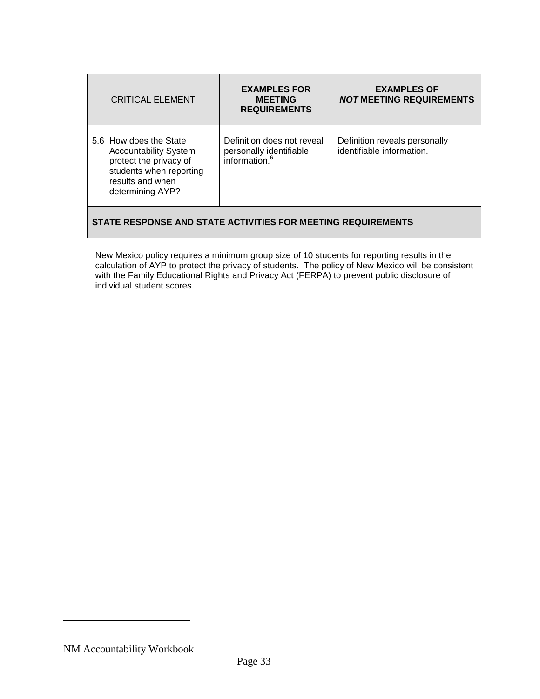| <b>CRITICAL ELEMENT</b>                                                                                                                             | <b>EXAMPLES FOR</b><br><b>MEETING</b><br><b>REQUIREMENTS</b>                       | <b>EXAMPLES OF</b><br><b>NOT MEETING REQUIREMENTS</b>      |
|-----------------------------------------------------------------------------------------------------------------------------------------------------|------------------------------------------------------------------------------------|------------------------------------------------------------|
| 5.6 How does the State<br><b>Accountability System</b><br>protect the privacy of<br>students when reporting<br>results and when<br>determining AYP? | Definition does not reveal<br>personally identifiable<br>information. <sup>6</sup> | Definition reveals personally<br>identifiable information. |
| STATE RESPONSE AND STATE ACTIVITIES FOR MEETING REQUIREMENTS                                                                                        |                                                                                    |                                                            |

New Mexico policy requires a minimum group size of 10 students for reporting results in the calculation of AYP to protect the privacy of students. The policy of New Mexico will be consistent with the Family Educational Rights and Privacy Act (FERPA) to prevent public disclosure of individual student scores.

NM Accountability Workbook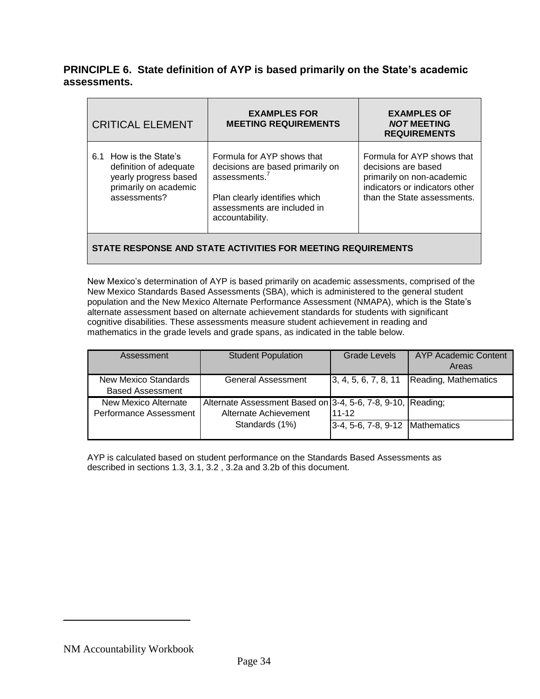## **PRINCIPLE 6. State definition of AYP is based primarily on the State's academic assessments.**

| <b>CRITICAL ELEMENT</b>                                                                                            | <b>EXAMPLES FOR</b><br><b>MEETING REQUIREMENTS</b>                                                                                                                             | <b>EXAMPLES OF</b><br><b>NOT MEETING</b><br><b>REQUIREMENTS</b>                                                                                 |
|--------------------------------------------------------------------------------------------------------------------|--------------------------------------------------------------------------------------------------------------------------------------------------------------------------------|-------------------------------------------------------------------------------------------------------------------------------------------------|
| 6.1 How is the State's<br>definition of adequate<br>yearly progress based<br>primarily on academic<br>assessments? | Formula for AYP shows that<br>decisions are based primarily on<br>assessments. <sup>7</sup><br>Plan clearly identifies which<br>assessments are included in<br>accountability. | Formula for AYP shows that<br>decisions are based<br>primarily on non-academic<br>indicators or indicators other<br>than the State assessments. |
|                                                                                                                    |                                                                                                                                                                                |                                                                                                                                                 |

**STATE RESPONSE AND STATE ACTIVITIES FOR MEETING REQUIREMENTS**

New Mexico's determination of AYP is based primarily on academic assessments, comprised of the New Mexico Standards Based Assessments (SBA), which is administered to the general student population and the New Mexico Alternate Performance Assessment (NMAPA), which is the State's alternate assessment based on alternate achievement standards for students with significant cognitive disabilities. These assessments measure student achievement in reading and mathematics in the grade levels and grade spans, as indicated in the table below.

| Assessment                  | <b>Student Population</b>                                   | Grade Levels                      | AYP Academic Content |
|-----------------------------|-------------------------------------------------------------|-----------------------------------|----------------------|
|                             |                                                             |                                   | Areas                |
| <b>New Mexico Standards</b> | General Assessment                                          | 3, 4, 5, 6, 7, 8, 11              | Reading, Mathematics |
| <b>Based Assessment</b>     |                                                             |                                   |                      |
| New Mexico Alternate        | Alternate Assessment Based on 3-4, 5-6, 7-8, 9-10, Reading; |                                   |                      |
| Performance Assessment      | Alternate Achievement                                       | 11-12                             |                      |
|                             | Standards (1%)                                              | 3-4, 5-6, 7-8, 9-12   Mathematics |                      |
|                             |                                                             |                                   |                      |

AYP is calculated based on student performance on the Standards Based Assessments as described in sections 1.3, 3.1, 3.2 , 3.2a and 3.2b of this document.

NM Accountability Workbook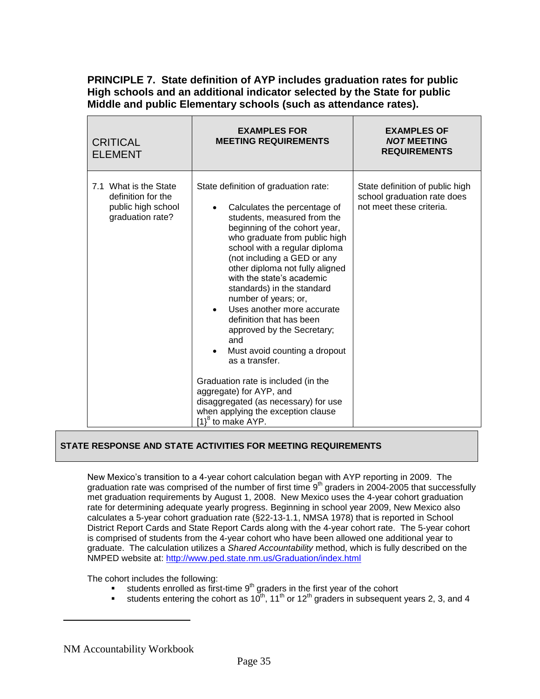## **PRINCIPLE 7. State definition of AYP includes graduation rates for public High schools and an additional indicator selected by the State for public Middle and public Elementary schools (such as attendance rates).**

| <b>CRITICAL</b><br><b>ELEMENT</b>                                                     | <b>EXAMPLES FOR</b><br><b>MEETING REQUIREMENTS</b>                                                                                                                                                                                                                                                                                                                                                                                                                                                                                                                                                                                                                                    | <b>EXAMPLES OF</b><br><b>NOT MEETING</b><br><b>REQUIREMENTS</b>                            |
|---------------------------------------------------------------------------------------|---------------------------------------------------------------------------------------------------------------------------------------------------------------------------------------------------------------------------------------------------------------------------------------------------------------------------------------------------------------------------------------------------------------------------------------------------------------------------------------------------------------------------------------------------------------------------------------------------------------------------------------------------------------------------------------|--------------------------------------------------------------------------------------------|
| 7.1 What is the State<br>definition for the<br>public high school<br>graduation rate? | State definition of graduation rate:<br>Calculates the percentage of<br>students, measured from the<br>beginning of the cohort year,<br>who graduate from public high<br>school with a regular diploma<br>(not including a GED or any<br>other diploma not fully aligned<br>with the state's academic<br>standards) in the standard<br>number of years; or,<br>Uses another more accurate<br>definition that has been<br>approved by the Secretary;<br>and<br>Must avoid counting a dropout<br>as a transfer.<br>Graduation rate is included (in the<br>aggregate) for AYP, and<br>disaggregated (as necessary) for use<br>when applying the exception clause<br>$[1]^8$ to make AYP. | State definition of public high<br>school graduation rate does<br>not meet these criteria. |

#### **STATE RESPONSE AND STATE ACTIVITIES FOR MEETING REQUIREMENTS**

New Mexico's transition to a 4-year cohort calculation began with AYP reporting in 2009. The graduation rate was comprised of the number of first time  $9<sup>th</sup>$  graders in 2004-2005 that successfully met graduation requirements by August 1, 2008. New Mexico uses the 4-year cohort graduation rate for determining adequate yearly progress. Beginning in school year 2009, New Mexico also calculates a 5-year cohort graduation rate (§22-13-1.1, NMSA 1978) that is reported in School District Report Cards and State Report Cards along with the 4-year cohort rate. The 5-year cohort is comprised of students from the 4-year cohort who have been allowed one additional year to graduate. The calculation utilizes a *Shared Accountability* method, which is fully described on the NMPED website at: <http://www.ped.state.nm.us/Graduation/index.html>

The cohort includes the following:

- $\bullet$  students enrolled as first-time  $9<sup>th</sup>$  graders in the first year of the cohort
- students entering the cohort as  $10^{th}$ ,  $11^{th}$  or  $12^{th}$  graders in subsequent years 2, 3, and 4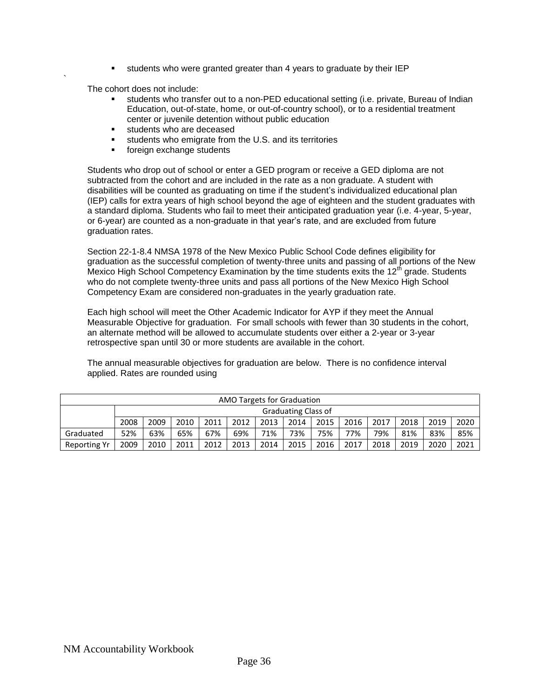students who were granted greater than 4 years to graduate by their IEP

The cohort does not include:

`

- students who transfer out to a non-PED educational setting (i.e. private, Bureau of Indian Education, out-of-state, home, or out-of-country school), or to a residential treatment center or juvenile detention without public education
- students who are deceased
- students who emigrate from the U.S. and its territories
- **foreign exchange students**

Students who drop out of school or enter a GED program or receive a GED diploma are not subtracted from the cohort and are included in the rate as a non graduate. A student with disabilities will be counted as graduating on time if the student's individualized educational plan (IEP) calls for extra years of high school beyond the age of eighteen and the student graduates with a standard diploma. Students who fail to meet their anticipated graduation year (i.e. 4-year, 5-year, or 6-year) are counted as a non-graduate in that year's rate, and are excluded from future graduation rates.

Section 22-1-8.4 NMSA 1978 of the New Mexico Public School Code defines eligibility for graduation as the successful completion of twenty-three units and passing of all portions of the New Mexico High School Competency Examination by the time students exits the 12<sup>th</sup> grade. Students who do not complete twenty-three units and pass all portions of the New Mexico High School Competency Exam are considered non-graduates in the yearly graduation rate.

Each high school will meet the Other Academic Indicator for AYP if they meet the Annual Measurable Objective for graduation. For small schools with fewer than 30 students in the cohort, an alternate method will be allowed to accumulate students over either a 2-year or 3-year retrospective span until 30 or more students are available in the cohort.

The annual measurable objectives for graduation are below. There is no confidence interval applied. Rates are rounded using

| AMO Targets for Graduation |      |                            |      |      |      |      |      |      |      |      |      |      |      |
|----------------------------|------|----------------------------|------|------|------|------|------|------|------|------|------|------|------|
|                            |      | <b>Graduating Class of</b> |      |      |      |      |      |      |      |      |      |      |      |
|                            | 2008 | 2009                       | 2010 | 2011 | 2012 | 2013 | 2014 | 2015 | 2016 | 2017 | 2018 | 2019 | 2020 |
| Graduated                  | 52%  | 63%                        | 65%  | 67%  | 69%  | 71%  | 73%  | 75%  | 77%  | 79%  | 81%  | 83%  | 85%  |
| Reporting Yr               | 2009 | 2010                       | 2011 | 2012 | 2013 | 2014 | 2015 | 2016 | 2017 | 2018 | 2019 | 2020 | 2021 |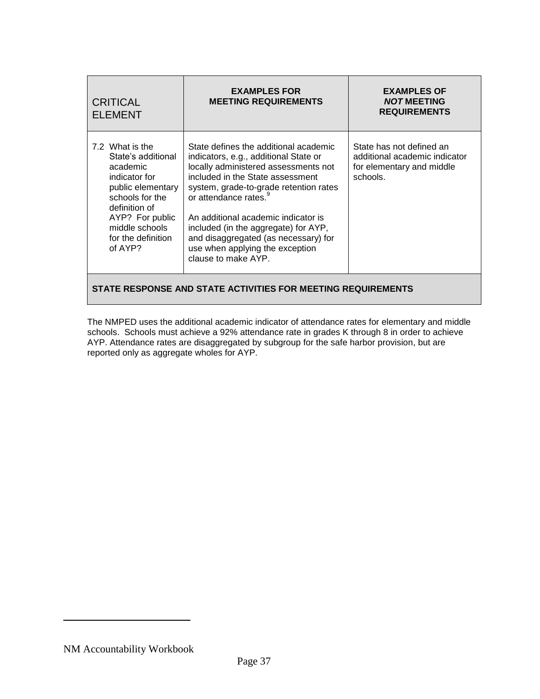| <b>CRITICAL</b><br><b>ELEMENT</b>                                                                                                                                                                 | <b>EXAMPLES FOR</b><br><b>MEETING REQUIREMENTS</b>                                                                                                                                                                                                                                                                                                                                                                         | <b>EXAMPLES OF</b><br><b>NOT MEETING</b><br><b>REQUIREMENTS</b>                                    |  |  |  |
|---------------------------------------------------------------------------------------------------------------------------------------------------------------------------------------------------|----------------------------------------------------------------------------------------------------------------------------------------------------------------------------------------------------------------------------------------------------------------------------------------------------------------------------------------------------------------------------------------------------------------------------|----------------------------------------------------------------------------------------------------|--|--|--|
| 7.2 What is the<br>State's additional<br>academic<br>indicator for<br>public elementary<br>schools for the<br>definition of<br>AYP? For public<br>middle schools<br>for the definition<br>of AYP? | State defines the additional academic<br>indicators, e.g., additional State or<br>locally administered assessments not<br>included in the State assessment<br>system, grade-to-grade retention rates<br>or attendance rates. <sup>9</sup><br>An additional academic indicator is<br>included (in the aggregate) for AYP,<br>and disaggregated (as necessary) for<br>use when applying the exception<br>clause to make AYP. | State has not defined an<br>additional academic indicator<br>for elementary and middle<br>schools. |  |  |  |
| STATE RESPONSE AND STATE ACTIVITIES FOR MEETING REQUIREMENTS                                                                                                                                      |                                                                                                                                                                                                                                                                                                                                                                                                                            |                                                                                                    |  |  |  |

The NMPED uses the additional academic indicator of attendance rates for elementary and middle schools. Schools must achieve a 92% attendance rate in grades K through 8 in order to achieve AYP. Attendance rates are disaggregated by subgroup for the safe harbor provision, but are reported only as aggregate wholes for AYP.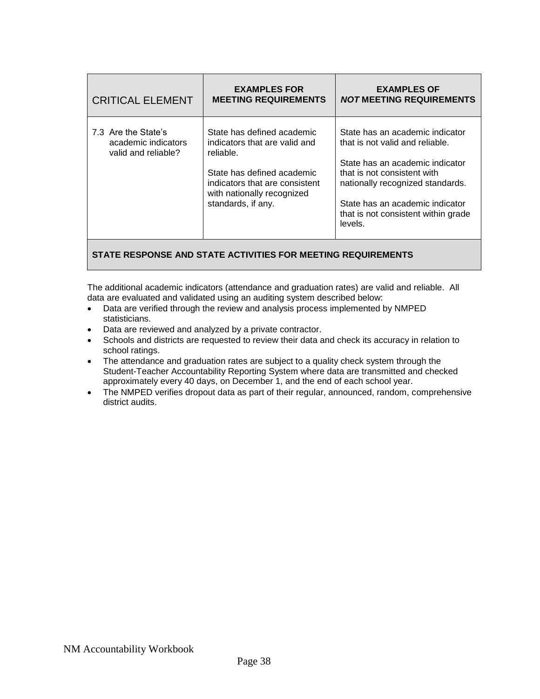| 7.3 Are the State's<br>State has defined academic<br>State has an academic indicator<br>indicators that are valid and<br>that is not valid and reliable.<br>academic indicators<br>valid and reliable?<br>reliable.<br>State has an academic indicator<br>State has defined academic<br>that is not consistent with<br>indicators that are consistent<br>nationally recognized standards. | <b>CRITICAL ELEMENT</b> | <b>EXAMPLES FOR</b><br><b>MEETING REQUIREMENTS</b> | <b>EXAMPLES OF</b><br><b>NOT MEETING REQUIREMENTS</b> |
|-------------------------------------------------------------------------------------------------------------------------------------------------------------------------------------------------------------------------------------------------------------------------------------------------------------------------------------------------------------------------------------------|-------------------------|----------------------------------------------------|-------------------------------------------------------|
| standards, if any.<br>State has an academic indicator<br>levels.                                                                                                                                                                                                                                                                                                                          |                         | with nationally recognized                         | that is not consistent within grade                   |

The additional academic indicators (attendance and graduation rates) are valid and reliable. All data are evaluated and validated using an auditing system described below:

- Data are verified through the review and analysis process implemented by NMPED statisticians.
- Data are reviewed and analyzed by a private contractor.
- Schools and districts are requested to review their data and check its accuracy in relation to school ratings.
- The attendance and graduation rates are subject to a quality check system through the Student-Teacher Accountability Reporting System where data are transmitted and checked approximately every 40 days, on December 1, and the end of each school year.
- The NMPED verifies dropout data as part of their regular, announced, random, comprehensive district audits.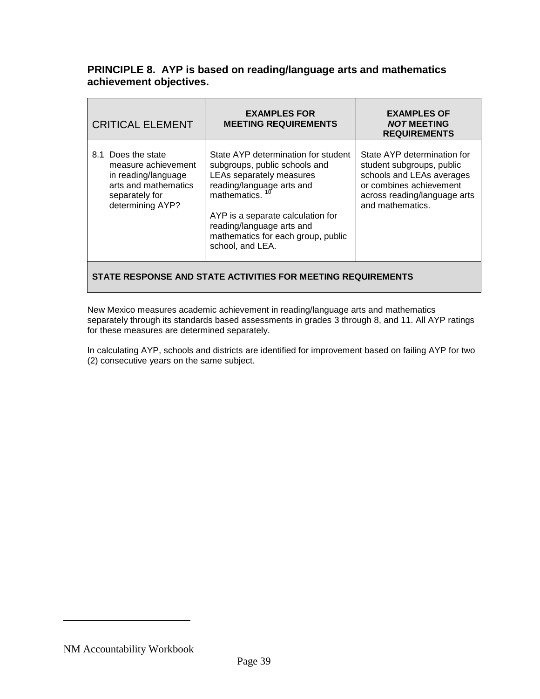## **PRINCIPLE 8. AYP is based on reading/language arts and mathematics achievement objectives.**

| <b>CRITICAL ELEMENT</b>                                                                                                        | <b>EXAMPLES FOR</b><br><b>MEETING REQUIREMENTS</b>                                                                                                                                                                                                                        | <b>EXAMPLES OF</b><br><b>NOT MEETING</b><br><b>REQUIREMENTS</b>                                                                                                      |
|--------------------------------------------------------------------------------------------------------------------------------|---------------------------------------------------------------------------------------------------------------------------------------------------------------------------------------------------------------------------------------------------------------------------|----------------------------------------------------------------------------------------------------------------------------------------------------------------------|
| 8.1 Does the state<br>measure achievement<br>in reading/language<br>arts and mathematics<br>separately for<br>determining AYP? | State AYP determination for student<br>subgroups, public schools and<br>LEAs separately measures<br>reading/language arts and<br>mathematics.<br>AYP is a separate calculation for<br>reading/language arts and<br>mathematics for each group, public<br>school, and LEA. | State AYP determination for<br>student subgroups, public<br>schools and LEAs averages<br>or combines achievement<br>across reading/language arts<br>and mathematics. |
|                                                                                                                                |                                                                                                                                                                                                                                                                           |                                                                                                                                                                      |

## **STATE RESPONSE AND STATE ACTIVITIES FOR MEETING REQUIREMENTS**

New Mexico measures academic achievement in reading/language arts and mathematics separately through its standards based assessments in grades 3 through 8, and 11. All AYP ratings for these measures are determined separately.

In calculating AYP, schools and districts are identified for improvement based on failing AYP for two (2) consecutive years on the same subject.

NM Accountability Workbook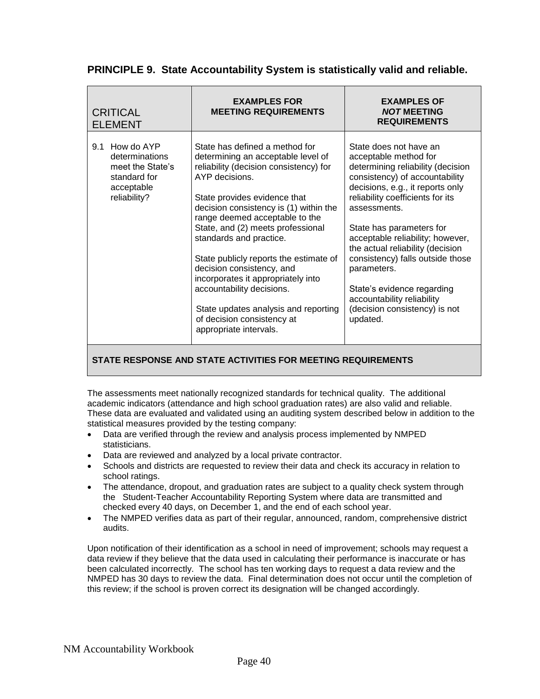|  | PRINCIPLE 9. State Accountability System is statistically valid and reliable. |  |  |  |
|--|-------------------------------------------------------------------------------|--|--|--|
|--|-------------------------------------------------------------------------------|--|--|--|

| <b>CRITICAL</b><br><b>ELEMENT</b>                                                                     | <b>EXAMPLES FOR</b><br><b>MEETING REQUIREMENTS</b>                                                                                                                                                                                                                                                                                                                                                                                                                                                                                                     | <b>EXAMPLES OF</b><br><b>NOT MEETING</b><br><b>REQUIREMENTS</b>                                                                                                                                                                                                                                                                                                                                                                                                                |
|-------------------------------------------------------------------------------------------------------|--------------------------------------------------------------------------------------------------------------------------------------------------------------------------------------------------------------------------------------------------------------------------------------------------------------------------------------------------------------------------------------------------------------------------------------------------------------------------------------------------------------------------------------------------------|--------------------------------------------------------------------------------------------------------------------------------------------------------------------------------------------------------------------------------------------------------------------------------------------------------------------------------------------------------------------------------------------------------------------------------------------------------------------------------|
| How do AYP<br>9.1<br>determinations<br>meet the State's<br>standard for<br>acceptable<br>reliability? | State has defined a method for<br>determining an acceptable level of<br>reliability (decision consistency) for<br>AYP decisions.<br>State provides evidence that<br>decision consistency is (1) within the<br>range deemed acceptable to the<br>State, and (2) meets professional<br>standards and practice.<br>State publicly reports the estimate of<br>decision consistency, and<br>incorporates it appropriately into<br>accountability decisions.<br>State updates analysis and reporting<br>of decision consistency at<br>appropriate intervals. | State does not have an<br>acceptable method for<br>determining reliability (decision<br>consistency) of accountability<br>decisions, e.g., it reports only<br>reliability coefficients for its<br>assessments.<br>State has parameters for<br>acceptable reliability; however,<br>the actual reliability (decision<br>consistency) falls outside those<br>parameters.<br>State's evidence regarding<br>accountability reliability<br>(decision consistency) is not<br>updated. |

The assessments meet nationally recognized standards for technical quality. The additional academic indicators (attendance and high school graduation rates) are also valid and reliable. These data are evaluated and validated using an auditing system described below in addition to the statistical measures provided by the testing company:

- Data are verified through the review and analysis process implemented by NMPED statisticians.
- Data are reviewed and analyzed by a local private contractor.
- Schools and districts are requested to review their data and check its accuracy in relation to school ratings.
- The attendance, dropout, and graduation rates are subject to a quality check system through the Student-Teacher Accountability Reporting System where data are transmitted and checked every 40 days, on December 1, and the end of each school year.
- The NMPED verifies data as part of their regular, announced, random, comprehensive district audits.

Upon notification of their identification as a school in need of improvement; schools may request a data review if they believe that the data used in calculating their performance is inaccurate or has been calculated incorrectly. The school has ten working days to request a data review and the NMPED has 30 days to review the data. Final determination does not occur until the completion of this review; if the school is proven correct its designation will be changed accordingly.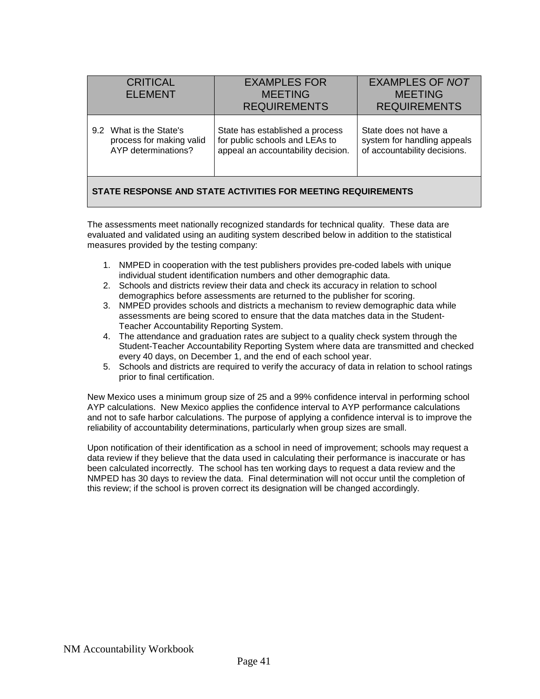| <b>CRITICAL</b><br><b>ELEMENT</b>                                          | <b>EXAMPLES FOR</b><br><b>MEETING</b><br><b>REQUIREMENTS</b>                                            | <b>EXAMPLES OF NOT</b><br><b>MEETING</b><br><b>REQUIREMENTS</b>                      |  |  |  |
|----------------------------------------------------------------------------|---------------------------------------------------------------------------------------------------------|--------------------------------------------------------------------------------------|--|--|--|
| 9.2 What is the State's<br>process for making valid<br>AYP determinations? | State has established a process<br>for public schools and LEAs to<br>appeal an accountability decision. | State does not have a<br>system for handling appeals<br>of accountability decisions. |  |  |  |
| STATE RESPONSE AND STATE ACTIVITIES FOR MEETING REQUIREMENTS               |                                                                                                         |                                                                                      |  |  |  |

The assessments meet nationally recognized standards for technical quality. These data are evaluated and validated using an auditing system described below in addition to the statistical measures provided by the testing company:

- 1. NMPED in cooperation with the test publishers provides pre-coded labels with unique individual student identification numbers and other demographic data.
- 2. Schools and districts review their data and check its accuracy in relation to school demographics before assessments are returned to the publisher for scoring.
- 3. NMPED provides schools and districts a mechanism to review demographic data while assessments are being scored to ensure that the data matches data in the Student-Teacher Accountability Reporting System.
- 4. The attendance and graduation rates are subject to a quality check system through the Student-Teacher Accountability Reporting System where data are transmitted and checked every 40 days, on December 1, and the end of each school year.
- 5. Schools and districts are required to verify the accuracy of data in relation to school ratings prior to final certification.

New Mexico uses a minimum group size of 25 and a 99% confidence interval in performing school AYP calculations. New Mexico applies the confidence interval to AYP performance calculations and not to safe harbor calculations. The purpose of applying a confidence interval is to improve the reliability of accountability determinations, particularly when group sizes are small.

Upon notification of their identification as a school in need of improvement; schools may request a data review if they believe that the data used in calculating their performance is inaccurate or has been calculated incorrectly. The school has ten working days to request a data review and the NMPED has 30 days to review the data. Final determination will not occur until the completion of this review; if the school is proven correct its designation will be changed accordingly.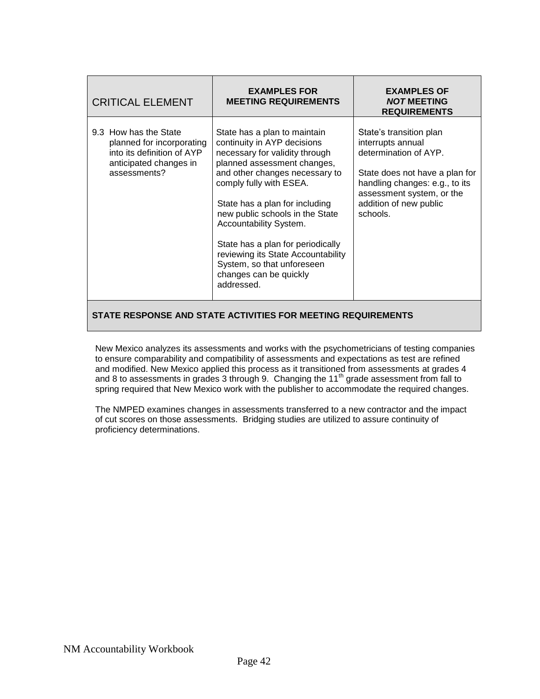| <b>CRITICAL ELEMENT</b>                                                                                                    | <b>EXAMPLES FOR</b><br><b>MEETING REQUIREMENTS</b>                                                                                                                                                                                                                                                                                                                                                                                        | <b>EXAMPLES OF</b><br><b>NOT MEETING</b><br><b>REQUIREMENTS</b>                                                                                                                                              |  |  |
|----------------------------------------------------------------------------------------------------------------------------|-------------------------------------------------------------------------------------------------------------------------------------------------------------------------------------------------------------------------------------------------------------------------------------------------------------------------------------------------------------------------------------------------------------------------------------------|--------------------------------------------------------------------------------------------------------------------------------------------------------------------------------------------------------------|--|--|
| 9.3 How has the State<br>planned for incorporating<br>into its definition of AYP<br>anticipated changes in<br>assessments? | State has a plan to maintain<br>continuity in AYP decisions<br>necessary for validity through<br>planned assessment changes,<br>and other changes necessary to<br>comply fully with ESEA.<br>State has a plan for including<br>new public schools in the State<br>Accountability System.<br>State has a plan for periodically<br>reviewing its State Accountability<br>System, so that unforeseen<br>changes can be quickly<br>addressed. | State's transition plan<br>interrupts annual<br>determination of AYP.<br>State does not have a plan for<br>handling changes: e.g., to its<br>assessment system, or the<br>addition of new public<br>schools. |  |  |
| STATE RESPONSE AND STATE ACTIVITIES FOR MEETING REQUIREMENTS                                                               |                                                                                                                                                                                                                                                                                                                                                                                                                                           |                                                                                                                                                                                                              |  |  |

New Mexico analyzes its assessments and works with the psychometricians of testing companies to ensure comparability and compatibility of assessments and expectations as test are refined and modified. New Mexico applied this process as it transitioned from assessments at grades 4 and 8 to assessments in grades 3 through 9. Changing the  $11<sup>th</sup>$  grade assessment from fall to spring required that New Mexico work with the publisher to accommodate the required changes.

The NMPED examines changes in assessments transferred to a new contractor and the impact of cut scores on those assessments. Bridging studies are utilized to assure continuity of proficiency determinations.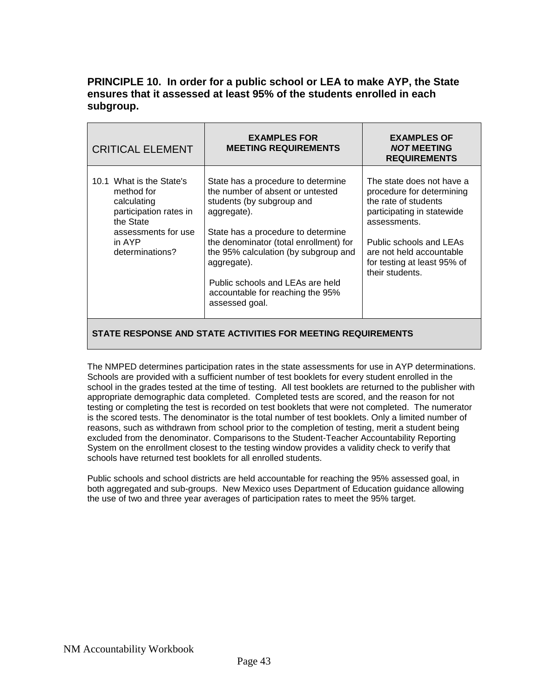## **PRINCIPLE 10. In order for a public school or LEA to make AYP, the State ensures that it assessed at least 95% of the students enrolled in each subgroup.**

| <b>CRITICAL ELEMENT</b>                                                                                                                          | <b>EXAMPLES FOR</b><br><b>MEETING REQUIREMENTS</b>                                                                                                                                                                                                                                                                                                  | <b>EXAMPLES OF</b><br><b>NOT MEETING</b><br><b>REQUIREMENTS</b>                                                                                                                                                                       |
|--------------------------------------------------------------------------------------------------------------------------------------------------|-----------------------------------------------------------------------------------------------------------------------------------------------------------------------------------------------------------------------------------------------------------------------------------------------------------------------------------------------------|---------------------------------------------------------------------------------------------------------------------------------------------------------------------------------------------------------------------------------------|
| 10.1 What is the State's<br>method for<br>calculating<br>participation rates in<br>the State<br>assessments for use<br>in AYP<br>determinations? | State has a procedure to determine<br>the number of absent or untested<br>students (by subgroup and<br>aggregate).<br>State has a procedure to determine<br>the denominator (total enrollment) for<br>the 95% calculation (by subgroup and<br>aggregate).<br>Public schools and LEAs are held<br>accountable for reaching the 95%<br>assessed goal. | The state does not have a<br>procedure for determining<br>the rate of students<br>participating in statewide<br>assessments.<br>Public schools and LEAs<br>are not held accountable<br>for testing at least 95% of<br>their students. |
|                                                                                                                                                  |                                                                                                                                                                                                                                                                                                                                                     |                                                                                                                                                                                                                                       |

#### **STATE RESPONSE AND STATE ACTIVITIES FOR MEETING REQUIREMENTS**

The NMPED determines participation rates in the state assessments for use in AYP determinations. Schools are provided with a sufficient number of test booklets for every student enrolled in the school in the grades tested at the time of testing. All test booklets are returned to the publisher with appropriate demographic data completed. Completed tests are scored, and the reason for not testing or completing the test is recorded on test booklets that were not completed. The numerator is the scored tests. The denominator is the total number of test booklets. Only a limited number of reasons, such as withdrawn from school prior to the completion of testing, merit a student being excluded from the denominator. Comparisons to the Student-Teacher Accountability Reporting System on the enrollment closest to the testing window provides a validity check to verify that schools have returned test booklets for all enrolled students.

Public schools and school districts are held accountable for reaching the 95% assessed goal, in both aggregated and sub-groups. New Mexico uses Department of Education guidance allowing the use of two and three year averages of participation rates to meet the 95% target.